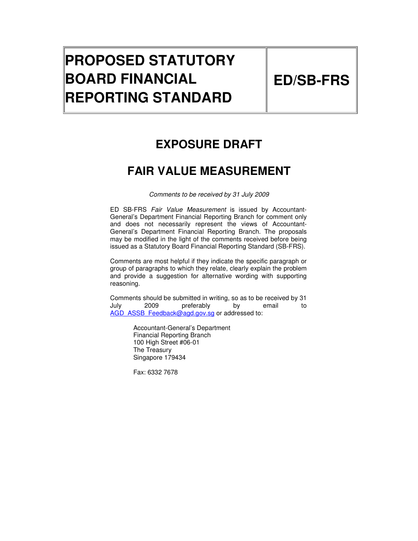# **PROPOSED STATUTORY BOARD FINANCIAL REPORTING STANDARD**

# **ED/SB-FRS**

## **EXPOSURE DRAFT**

## **FAIR VALUE MEASUREMENT**

Comments to be received by 31 July 2009

ED SB-FRS Fair Value Measurement is issued by Accountant-General's Department Financial Reporting Branch for comment only and does not necessarily represent the views of Accountant-General's Department Financial Reporting Branch. The proposals may be modified in the light of the comments received before being issued as a Statutory Board Financial Reporting Standard (SB-FRS).

Comments are most helpful if they indicate the specific paragraph or group of paragraphs to which they relate, clearly explain the problem and provide a suggestion for alternative wording with supporting reasoning.

Comments should be submitted in writing, so as to be received by 31 July 2009 preferably by email to AGD\_ASSB\_Feedback@agd.gov.sg or addressed to:

> Accountant-General's Department Financial Reporting Branch 100 High Street #06-01 The Treasury Singapore 179434

Fax: 6332 7678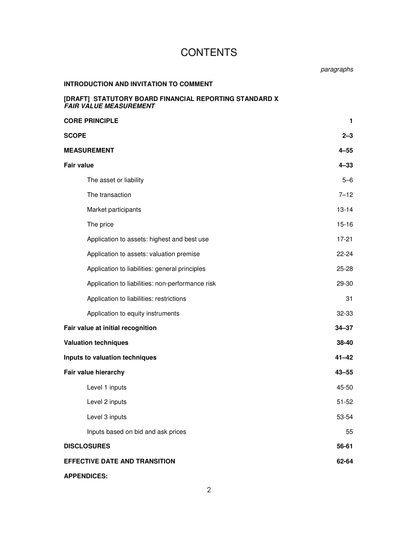## **CONTENTS**

|                                                                                         | paragraphs |
|-----------------------------------------------------------------------------------------|------------|
| <b>INTRODUCTION AND INVITATION TO COMMENT</b>                                           |            |
| [DRAFT] STATUTORY BOARD FINANCIAL REPORTING STANDARD X<br><b>FAIR VALUE MEASUREMENT</b> |            |
| <b>CORE PRINCIPLE</b>                                                                   | 1          |
| <b>SCOPE</b>                                                                            | $2 - 3$    |
| <b>MEASUREMENT</b>                                                                      | $4 - 55$   |
| <b>Fair value</b>                                                                       | $4 - 33$   |
| The asset or liability                                                                  | $5 - 6$    |
| The transaction                                                                         | $7 - 12$   |
| Market participants                                                                     | $13 - 14$  |
| The price                                                                               | $15 - 16$  |
| Application to assets: highest and best use                                             | $17-21$    |
| Application to assets: valuation premise                                                | $22 - 24$  |
| Application to liabilities: general principles                                          | $25 - 28$  |
| Application to liabilities: non-performance risk                                        | 29-30      |
| Application to liabilities: restrictions                                                | 31         |
| Application to equity instruments                                                       | 32-33      |
| Fair value at initial recognition                                                       | $34 - 37$  |
| <b>Valuation techniques</b>                                                             | 38-40      |
| Inputs to valuation techniques                                                          | $41 - 42$  |
| Fair value hierarchy                                                                    | $43 - 55$  |
| Level 1 inputs                                                                          | 45-50      |
| Level 2 inputs                                                                          | $51 - 52$  |
| Level 3 inputs                                                                          | 53-54      |
| Inputs based on bid and ask prices                                                      | 55         |
| <b>DISCLOSURES</b>                                                                      | 56-61      |
| <b>EFFECTIVE DATE AND TRANSITION</b>                                                    | 62-64      |
| <b>APPENDICES:</b>                                                                      |            |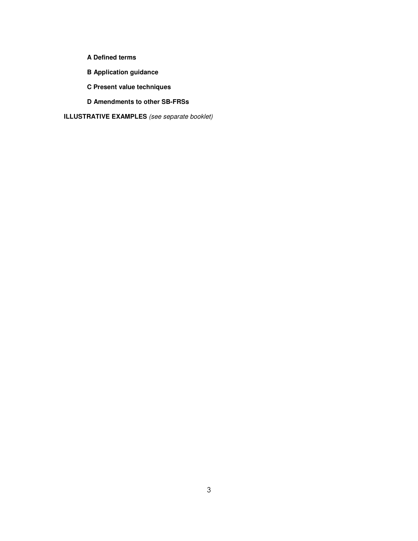**A Defined terms** 

- **B Application guidance**
- **C Present value techniques**
- **D Amendments to other SB-FRSs**

**ILLUSTRATIVE EXAMPLES** (see separate booklet)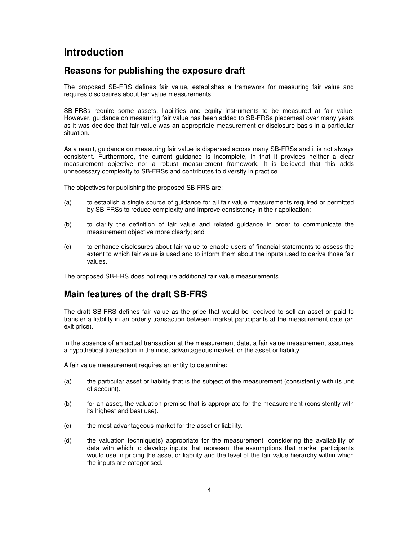## **Introduction**

## **Reasons for publishing the exposure draft**

The proposed SB-FRS defines fair value, establishes a framework for measuring fair value and requires disclosures about fair value measurements.

SB-FRSs require some assets, liabilities and equity instruments to be measured at fair value. However, guidance on measuring fair value has been added to SB-FRSs piecemeal over many years as it was decided that fair value was an appropriate measurement or disclosure basis in a particular situation.

As a result, guidance on measuring fair value is dispersed across many SB-FRSs and it is not always consistent. Furthermore, the current guidance is incomplete, in that it provides neither a clear measurement objective nor a robust measurement framework. It is believed that this adds unnecessary complexity to SB-FRSs and contributes to diversity in practice.

The objectives for publishing the proposed SB-FRS are:

- (a) to establish a single source of guidance for all fair value measurements required or permitted by SB-FRSs to reduce complexity and improve consistency in their application;
- (b) to clarify the definition of fair value and related guidance in order to communicate the measurement objective more clearly; and
- (c) to enhance disclosures about fair value to enable users of financial statements to assess the extent to which fair value is used and to inform them about the inputs used to derive those fair values.

The proposed SB-FRS does not require additional fair value measurements.

## **Main features of the draft SB-FRS**

The draft SB-FRS defines fair value as the price that would be received to sell an asset or paid to transfer a liability in an orderly transaction between market participants at the measurement date (an exit price).

In the absence of an actual transaction at the measurement date, a fair value measurement assumes a hypothetical transaction in the most advantageous market for the asset or liability.

A fair value measurement requires an entity to determine:

- (a) the particular asset or liability that is the subject of the measurement (consistently with its unit of account).
- (b) for an asset, the valuation premise that is appropriate for the measurement (consistently with its highest and best use).
- (c) the most advantageous market for the asset or liability.
- (d) the valuation technique(s) appropriate for the measurement, considering the availability of data with which to develop inputs that represent the assumptions that market participants would use in pricing the asset or liability and the level of the fair value hierarchy within which the inputs are categorised.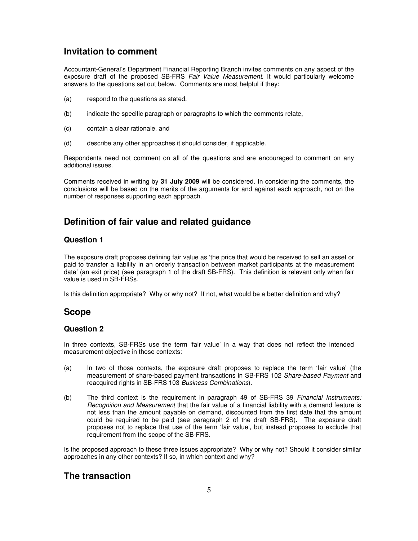## **Invitation to comment**

Accountant-General's Department Financial Reporting Branch invites comments on any aspect of the exposure draft of the proposed SB-FRS *Fair Value Measurement*. It would particularly welcome answers to the questions set out below. Comments are most helpful if they:

- (a) respond to the questions as stated,
- (b) indicate the specific paragraph or paragraphs to which the comments relate,
- (c) contain a clear rationale, and
- (d) describe any other approaches it should consider, if applicable.

Respondents need not comment on all of the questions and are encouraged to comment on any additional issues.

Comments received in writing by **31 July 2009** will be considered. In considering the comments, the conclusions will be based on the merits of the arguments for and against each approach, not on the number of responses supporting each approach.

## **Definition of fair value and related guidance**

#### **Question 1**

The exposure draft proposes defining fair value as 'the price that would be received to sell an asset or paid to transfer a liability in an orderly transaction between market participants at the measurement date' (an exit price) (see paragraph 1 of the draft SB-FRS). This definition is relevant only when fair value is used in SB-FRSs.

Is this definition appropriate? Why or why not? If not, what would be a better definition and why?

## **Scope**

#### **Question 2**

In three contexts, SB-FRSs use the term 'fair value' in a way that does not reflect the intended measurement objective in those contexts:

- (a) In two of those contexts, the exposure draft proposes to replace the term 'fair value' (the measurement of share-based payment transactions in SB-FRS 102 Share-based Payment and reacquired rights in SB-FRS 103 Business Combinations).
- (b) The third context is the requirement in paragraph 49 of SB-FRS 39 Financial Instruments: Recognition and Measurement that the fair value of a financial liability with a demand feature is not less than the amount payable on demand, discounted from the first date that the amount could be required to be paid (see paragraph 2 of the draft SB-FRS). The exposure draft proposes not to replace that use of the term 'fair value', but instead proposes to exclude that requirement from the scope of the SB-FRS.

Is the proposed approach to these three issues appropriate? Why or why not? Should it consider similar approaches in any other contexts? If so, in which context and why?

## **The transaction**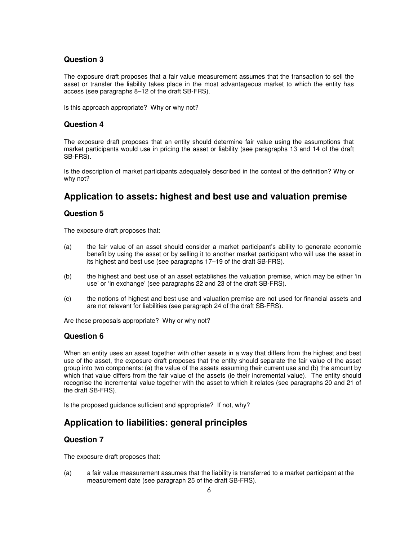#### **Question 3**

The exposure draft proposes that a fair value measurement assumes that the transaction to sell the asset or transfer the liability takes place in the most advantageous market to which the entity has access (see paragraphs 8–12 of the draft SB-FRS).

Is this approach appropriate? Why or why not?

#### **Question 4**

The exposure draft proposes that an entity should determine fair value using the assumptions that market participants would use in pricing the asset or liability (see paragraphs 13 and 14 of the draft SB-FRS).

Is the description of market participants adequately described in the context of the definition? Why or why not?

## **Application to assets: highest and best use and valuation premise**

#### **Question 5**

The exposure draft proposes that:

- (a) the fair value of an asset should consider a market participant's ability to generate economic benefit by using the asset or by selling it to another market participant who will use the asset in its highest and best use (see paragraphs 17–19 of the draft SB-FRS).
- (b) the highest and best use of an asset establishes the valuation premise, which may be either 'in use' or 'in exchange' (see paragraphs 22 and 23 of the draft SB-FRS).
- (c) the notions of highest and best use and valuation premise are not used for financial assets and are not relevant for liabilities (see paragraph 24 of the draft SB-FRS).

Are these proposals appropriate? Why or why not?

#### **Question 6**

When an entity uses an asset together with other assets in a way that differs from the highest and best use of the asset, the exposure draft proposes that the entity should separate the fair value of the asset group into two components: (a) the value of the assets assuming their current use and (b) the amount by which that value differs from the fair value of the assets (ie their incremental value). The entity should recognise the incremental value together with the asset to which it relates (see paragraphs 20 and 21 of the draft SB-FRS).

Is the proposed guidance sufficient and appropriate? If not, why?

## **Application to liabilities: general principles**

### **Question 7**

The exposure draft proposes that:

(a) a fair value measurement assumes that the liability is transferred to a market participant at the measurement date (see paragraph 25 of the draft SB-FRS).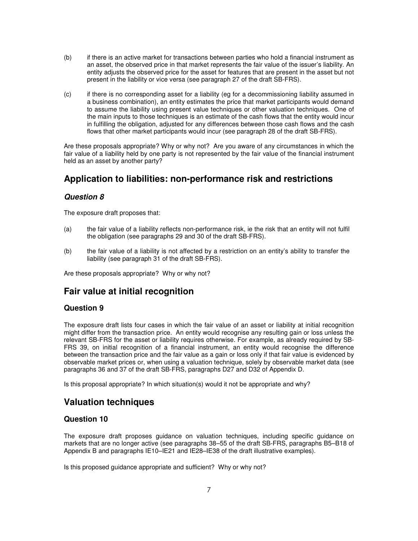- (b) if there is an active market for transactions between parties who hold a financial instrument as an asset, the observed price in that market represents the fair value of the issuer's liability. An entity adjusts the observed price for the asset for features that are present in the asset but not present in the liability or vice versa (see paragraph 27 of the draft SB-FRS).
- (c) if there is no corresponding asset for a liability (eg for a decommissioning liability assumed in a business combination), an entity estimates the price that market participants would demand to assume the liability using present value techniques or other valuation techniques. One of the main inputs to those techniques is an estimate of the cash flows that the entity would incur in fulfilling the obligation, adjusted for any differences between those cash flows and the cash flows that other market participants would incur (see paragraph 28 of the draft SB-FRS).

Are these proposals appropriate? Why or why not? Are you aware of any circumstances in which the fair value of a liability held by one party is not represented by the fair value of the financial instrument held as an asset by another party?

## **Application to liabilities: non-performance risk and restrictions**

#### **Question 8**

The exposure draft proposes that:

- (a) the fair value of a liability reflects non-performance risk, ie the risk that an entity will not fulfil the obligation (see paragraphs 29 and 30 of the draft SB-FRS).
- (b) the fair value of a liability is not affected by a restriction on an entity's ability to transfer the liability (see paragraph 31 of the draft SB-FRS).

Are these proposals appropriate? Why or why not?

## **Fair value at initial recognition**

#### **Question 9**

The exposure draft lists four cases in which the fair value of an asset or liability at initial recognition might differ from the transaction price. An entity would recognise any resulting gain or loss unless the relevant SB-FRS for the asset or liability requires otherwise. For example, as already required by SB-FRS 39, on initial recognition of a financial instrument, an entity would recognise the difference between the transaction price and the fair value as a gain or loss only if that fair value is evidenced by observable market prices or, when using a valuation technique, solely by observable market data (see paragraphs 36 and 37 of the draft SB-FRS, paragraphs D27 and D32 of Appendix D.

Is this proposal appropriate? In which situation(s) would it not be appropriate and why?

## **Valuation techniques**

#### **Question 10**

The exposure draft proposes guidance on valuation techniques, including specific guidance on markets that are no longer active (see paragraphs 38–55 of the draft SB-FRS, paragraphs B5–B18 of Appendix B and paragraphs IE10–IE21 and IE28–IE38 of the draft illustrative examples).

Is this proposed guidance appropriate and sufficient? Why or why not?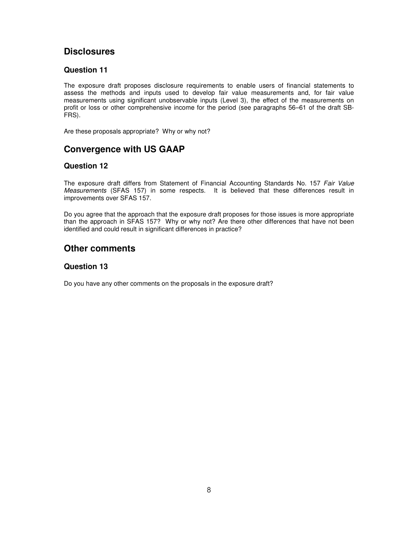## **Disclosures**

#### **Question 11**

The exposure draft proposes disclosure requirements to enable users of financial statements to assess the methods and inputs used to develop fair value measurements and, for fair value measurements using significant unobservable inputs (Level 3), the effect of the measurements on profit or loss or other comprehensive income for the period (see paragraphs 56–61 of the draft SB-FRS).

Are these proposals appropriate? Why or why not?

## **Convergence with US GAAP**

#### **Question 12**

The exposure draft differs from Statement of Financial Accounting Standards No. 157 Fair Value Measurements (SFAS 157) in some respects. It is believed that these differences result in improvements over SFAS 157.

Do you agree that the approach that the exposure draft proposes for those issues is more appropriate than the approach in SFAS 157? Why or why not? Are there other differences that have not been identified and could result in significant differences in practice?

## **Other comments**

## **Question 13**

Do you have any other comments on the proposals in the exposure draft?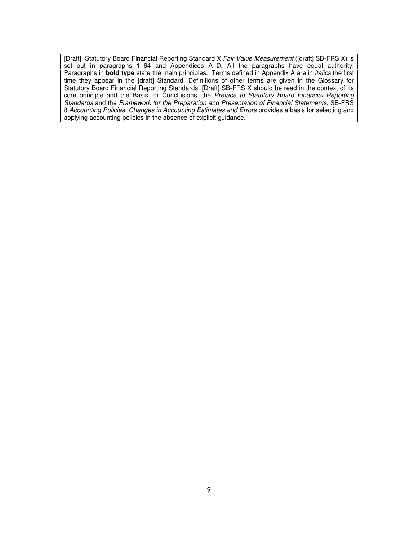[Draft] Statutory Board Financial Reporting Standard X Fair Value Measurement ([draft] SB-FRS X) is set out in paragraphs 1–64 and Appendices A–D. All the paragraphs have equal authority. Paragraphs in **bold type** state the main principles. Terms defined in Appendix A are in *italics* the first time they appear in the [draft] Standard. Definitions of other terms are given in the Glossary for Statutory Board Financial Reporting Standards. [Draft] SB-FRS X should be read in the context of its core principle and the Basis for Conclusions, the Preface to Statutory Board Financial Reporting Standards and the Framework for the Preparation and Presentation of Financial Statements. SB-FRS 8 Accounting Policies, Changes in Accounting Estimates and Errors provides a basis for selecting and applying accounting policies in the absence of explicit guidance.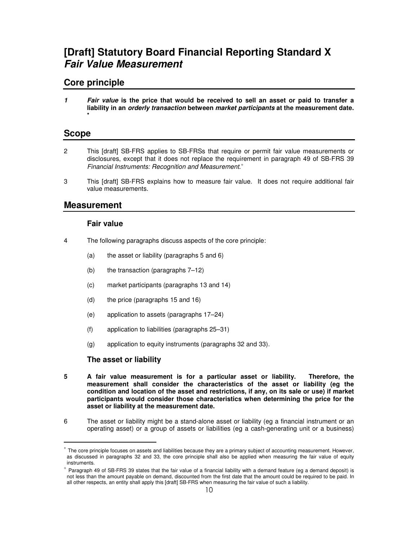## **[Draft] Statutory Board Financial Reporting Standard X Fair Value Measurement**

## **Core principle**

∗

**1 Fair value is the price that would be received to sell an asset or paid to transfer a liability in an orderly transaction between market participants at the measurement date.**

## **Scope**

 $\overline{a}$ 

- 2 This [draft] SB-FRS applies to SB-FRSs that require or permit fair value measurements or disclosures, except that it does not replace the requirement in paragraph 49 of SB-FRS 39 Financial Instruments: Recognition and Measurement. +
- 3 This [draft] SB-FRS explains how to measure fair value. It does not require additional fair value measurements.

## **Measurement**

#### **Fair value**

- 4 The following paragraphs discuss aspects of the core principle:
	- (a) the asset or liability (paragraphs 5 and 6)
	- (b) the transaction (paragraphs 7–12)
	- (c) market participants (paragraphs 13 and 14)
	- (d) the price (paragraphs 15 and 16)
	- (e) application to assets (paragraphs 17–24)
	- (f) application to liabilities (paragraphs 25–31)
	- (g) application to equity instruments (paragraphs 32 and 33).

#### **The asset or liability**

- **5 A fair value measurement is for a particular asset or liability. Therefore, the measurement shall consider the characteristics of the asset or liability (eg the condition and location of the asset and restrictions, if any, on its sale or use) if market participants would consider those characteristics when determining the price for the asset or liability at the measurement date.**
- 6 The asset or liability might be a stand-alone asset or liability (eg a financial instrument or an operating asset) or a group of assets or liabilities (eg a cash-generating unit or a business)

<sup>∗</sup> The core principle focuses on assets and liabilities because they are a primary subject of accounting measurement. However, as discussed in paragraphs 32 and 33, the core principle shall also be applied when measuring the fair value of equity instruments.

<sup>+</sup> Paragraph 49 of SB-FRS 39 states that the fair value of a financial liability with a demand feature (eg a demand deposit) is not less than the amount payable on demand, discounted from the first date that the amount could be required to be paid. In all other respects, an entity shall apply this [draft] SB-FRS when measuring the fair value of such a liability.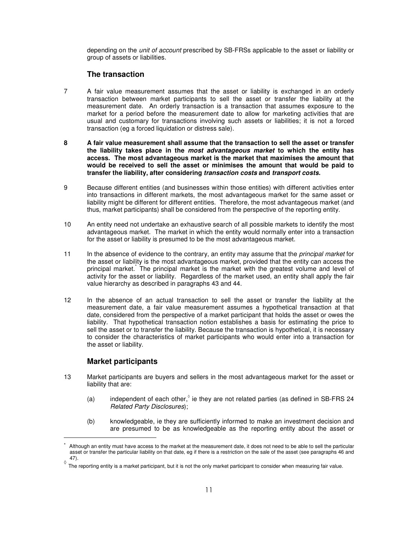depending on the *unit of account* prescribed by SB-FRSs applicable to the asset or liability or group of assets or liabilities.

#### **The transaction**

- 7 A fair value measurement assumes that the asset or liability is exchanged in an orderly transaction between market participants to sell the asset or transfer the liability at the measurement date. An orderly transaction is a transaction that assumes exposure to the market for a period before the measurement date to allow for marketing activities that are usual and customary for transactions involving such assets or liabilities; it is not a forced transaction (eg a forced liquidation or distress sale).
- **8 A fair value measurement shall assume that the transaction to sell the asset or transfer the liability takes place in the most advantageous market to which the entity has access. The most advantageous market is the market that maximises the amount that would be received to sell the asset or minimises the amount that would be paid to transfer the liability, after considering transaction costs and transport costs.**
- 9 Because different entities (and businesses within those entities) with different activities enter into transactions in different markets, the most advantageous market for the same asset or liability might be different for different entities. Therefore, the most advantageous market (and thus, market participants) shall be considered from the perspective of the reporting entity.
- 10 An entity need not undertake an exhaustive search of all possible markets to identify the most advantageous market. The market in which the entity would normally enter into a transaction for the asset or liability is presumed to be the most advantageous market.
- 11 In the absence of evidence to the contrary, an entity may assume that the *principal market* for the asset or liability is the most advantageous market, provided that the entity can access the principal market. The principal market is the market with the greatest volume and level of activity for the asset or liability. Regardless of the market used, an entity shall apply the fair value hierarchy as described in paragraphs 43 and 44.
- 12 In the absence of an actual transaction to sell the asset or transfer the liability at the measurement date, a fair value measurement assumes a hypothetical transaction at that date, considered from the perspective of a market participant that holds the asset or owes the liability. That hypothetical transaction notion establishes a basis for estimating the price to sell the asset or to transfer the liability. Because the transaction is hypothetical, it is necessary to consider the characteristics of market participants who would enter into a transaction for the asset or liability.

#### **Market participants**

 $\overline{a}$ 

- 13 Market participants are buyers and sellers in the most advantageous market for the asset or liability that are:
	- (a) independent of each other, $\degree$  ie they are not related parties (as defined in SB-FRS 24 Related Party Disclosures);
	- (b) knowledgeable, ie they are sufficiently informed to make an investment decision and are presumed to be as knowledgeable as the reporting entity about the asset or

<sup>\*</sup> Although an entity must have access to the market at the measurement date, it does not need to be able to sell the particular asset or transfer the particular liability on that date, eg if there is a restriction on the sale of the asset (see paragraphs 46 and 47). ◊

The reporting entity is a market participant, but it is not the only market participant to consider when measuring fair value.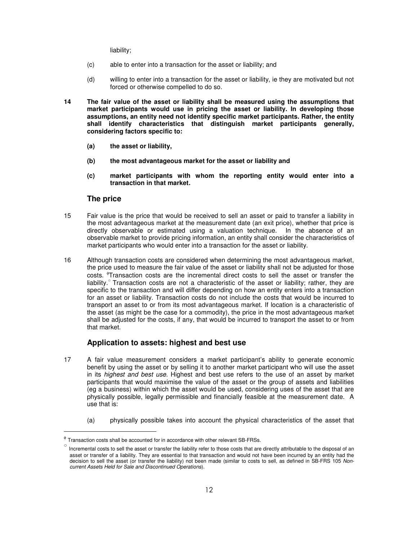liability;

- (c) able to enter into a transaction for the asset or liability; and
- (d) willing to enter into a transaction for the asset or liability, ie they are motivated but not forced or otherwise compelled to do so.
- **14 The fair value of the asset or liability shall be measured using the assumptions that market participants would use in pricing the asset or liability. In developing those assumptions, an entity need not identify specific market participants. Rather, the entity shall identify characteristics that distinguish market participants generally, considering factors specific to:** 
	- **(a) the asset or liability,**
	- **(b) the most advantageous market for the asset or liability and**
	- **(c) market participants with whom the reporting entity would enter into a transaction in that market.**

#### **The price**

- 15 Fair value is the price that would be received to sell an asset or paid to transfer a liability in the most advantageous market at the measurement date (an exit price), whether that price is directly observable or estimated using a valuation technique. In the absence of an observable market to provide pricing information, an entity shall consider the characteristics of market participants who would enter into a transaction for the asset or liability.
- 16 Although transaction costs are considered when determining the most advantageous market, the price used to measure the fair value of the asset or liability shall not be adjusted for those costs. <sup>e</sup>Transaction costs are the incremental direct costs to sell the asset or transfer the liability. Transaction costs are not a characteristic of the asset or liability; rather, they are specific to the transaction and will differ depending on how an entity enters into a transaction for an asset or liability. Transaction costs do not include the costs that would be incurred to transport an asset to or from its most advantageous market. If location is a characteristic of the asset (as might be the case for a commodity), the price in the most advantageous market shall be adjusted for the costs, if any, that would be incurred to transport the asset to or from that market.

#### **Application to assets: highest and best use**

- 17 A fair value measurement considers a market participant's ability to generate economic benefit by using the asset or by selling it to another market participant who will use the asset in its highest and best use. Highest and best use refers to the use of an asset by market participants that would maximise the value of the asset or the group of assets and liabilities (eg a business) within which the asset would be used, considering uses of the asset that are physically possible, legally permissible and financially feasible at the measurement date. A use that is:
	- (a) physically possible takes into account the physical characteristics of the asset that

 $^{\phi}$  Transaction costs shall be accounted for in accordance with other relevant SB-FRSs.<br>○

Incremental costs to sell the asset or transfer the liability refer to those costs that are directly attributable to the disposal of an asset or transfer of a liability. They are essential to that transaction and would not have been incurred by an entity had the decision to sell the asset (or transfer the liability) not been made (similar to costs to sell, as defined in SB-FRS 105 Noncurrent Assets Held for Sale and Discontinued Operations).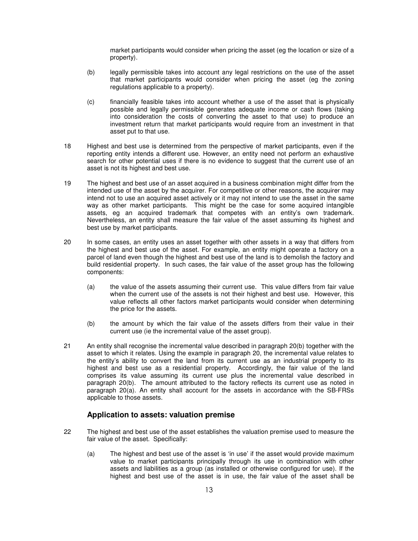market participants would consider when pricing the asset (eg the location or size of a property).

- (b) legally permissible takes into account any legal restrictions on the use of the asset that market participants would consider when pricing the asset (eg the zoning regulations applicable to a property).
- (c) financially feasible takes into account whether a use of the asset that is physically possible and legally permissible generates adequate income or cash flows (taking into consideration the costs of converting the asset to that use) to produce an investment return that market participants would require from an investment in that asset put to that use.
- 18 Highest and best use is determined from the perspective of market participants, even if the reporting entity intends a different use. However, an entity need not perform an exhaustive search for other potential uses if there is no evidence to suggest that the current use of an asset is not its highest and best use.
- 19 The highest and best use of an asset acquired in a business combination might differ from the intended use of the asset by the acquirer. For competitive or other reasons, the acquirer may intend not to use an acquired asset actively or it may not intend to use the asset in the same way as other market participants. This might be the case for some acquired intangible assets, eg an acquired trademark that competes with an entity's own trademark. Nevertheless, an entity shall measure the fair value of the asset assuming its highest and best use by market participants.
- 20 In some cases, an entity uses an asset together with other assets in a way that differs from the highest and best use of the asset. For example, an entity might operate a factory on a parcel of land even though the highest and best use of the land is to demolish the factory and build residential property. In such cases, the fair value of the asset group has the following components:
	- (a) the value of the assets assuming their current use. This value differs from fair value when the current use of the assets is not their highest and best use. However, this value reflects all other factors market participants would consider when determining the price for the assets.
	- (b) the amount by which the fair value of the assets differs from their value in their current use (ie the incremental value of the asset group).
- 21 An entity shall recognise the incremental value described in paragraph 20(b) together with the asset to which it relates. Using the example in paragraph 20, the incremental value relates to the entity's ability to convert the land from its current use as an industrial property to its highest and best use as a residential property. Accordingly, the fair value of the land comprises its value assuming its current use plus the incremental value described in paragraph 20(b). The amount attributed to the factory reflects its current use as noted in paragraph 20(a). An entity shall account for the assets in accordance with the SB-FRSs applicable to those assets.

#### **Application to assets: valuation premise**

- 22 The highest and best use of the asset establishes the valuation premise used to measure the fair value of the asset. Specifically:
	- (a) The highest and best use of the asset is 'in use' if the asset would provide maximum value to market participants principally through its use in combination with other assets and liabilities as a group (as installed or otherwise configured for use). If the highest and best use of the asset is in use, the fair value of the asset shall be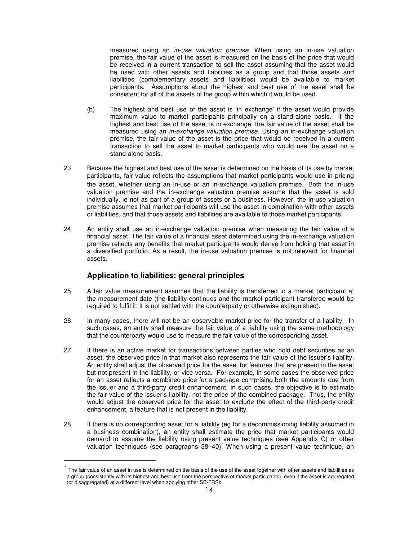measured using an *in-use valuation premise*. When using an in-use valuation premise, the fair value of the asset is measured on the basis of the price that would be received in a current transaction to sell the asset assuming that the asset would be used with other assets and liabilities as a group and that those assets and liabilities (complementary assets and liabilities) would be available to market participants. Assumptions about the highest and best use of the asset shall be consistent for all of the assets of the group within which it would be used.

- (b) The highest and best use of the asset is 'in exchange' if the asset would provide maximum value to market participants principally on a stand-alone basis. If the highest and best use of the asset is in exchange, the fair value of the asset shall be measured using an in-exchange valuation premise. Using an in-exchange valuation premise, the fair value of the asset is the price that would be received in a current transaction to sell the asset to market participants who would use the asset on a stand-alone basis.
- 23 Because the highest and best use of the asset is determined on the basis of its use by market participants, fair value reflects the assumptions that market participants would use in pricing .<br>the asset, whether using an in-use or an in-exchange valuation premise. Both the in-use valuation premise and the in-exchange valuation premise assume that the asset is sold individually, ie not as part of a group of assets or a business. However, the in-use valuation premise assumes that market participants will use the asset in combination with other assets or liabilities, and that those assets and liabilities are available to those market participants.
- 24 An entity shall use an in-exchange valuation premise when measuring the fair value of a financial asset. The fair value of a financial asset determined using the in-exchange valuation premise reflects any benefits that market participants would derive from holding that asset in a diversified portfolio. As a result, the in-use valuation premise is not relevant for financial assets.

#### **Application to liabilities: general principles**

 $\overline{a}$ 

- 25 A fair value measurement assumes that the liability is transferred to a market participant at the measurement date (the liability continues and the market participant transferee would be required to fulfil it; it is not settled with the counterparty or otherwise extinguished).
- 26 In many cases, there will not be an observable market price for the transfer of a liability. In such cases, an entity shall measure the fair value of a liability using the same methodology that the counterparty would use to measure the fair value of the corresponding asset.
- 27 If there is an active market for transactions between parties who hold debt securities as an asset, the observed price in that market also represents the fair value of the issuer's liability. An entity shall adjust the observed price for the asset for features that are present in the asset but not present in the liability, or vice versa. For example, in some cases the observed price for an asset reflects a combined price for a package comprising both the amounts due from the issuer and a third-party credit enhancement. In such cases, the objective is to estimate the fair value of the issuer's liability, not the price of the combined package. Thus, the entity would adjust the observed price for the asset to exclude the effect of the third-party credit enhancement, a feature that is not present in the liability.
- 28 If there is no corresponding asset for a liability (eg for a decommissioning liability assumed in a business combination), an entity shall estimate the price that market participants would demand to assume the liability using present value techniques (see Appendix C) or other valuation techniques (see paragraphs 38–40). When using a present value technique, an

The fair value of an asset in use is determined on the basis of the use of the asset together with other assets and liabilities as a group (consistently with its highest and best use from the perspective of market participants), even if the asset is aggregated (or disaggregated) at a different level when applying other SB-FRSs.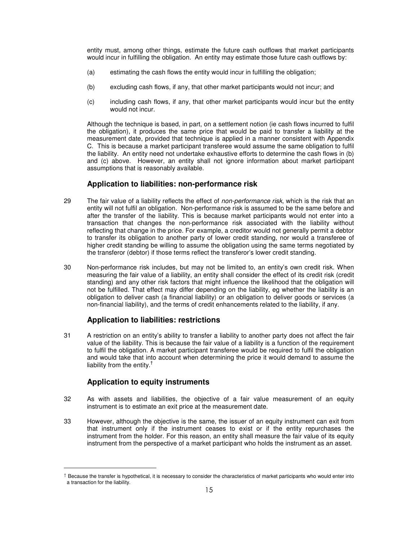entity must, among other things, estimate the future cash outflows that market participants would incur in fulfilling the obligation. An entity may estimate those future cash outflows by:

- (a) estimating the cash flows the entity would incur in fulfilling the obligation;
- (b) excluding cash flows, if any, that other market participants would not incur; and
- (c) including cash flows, if any, that other market participants would incur but the entity would not incur.

Although the technique is based, in part, on a settlement notion (ie cash flows incurred to fulfil the obligation), it produces the same price that would be paid to transfer a liability at the measurement date, provided that technique is applied in a manner consistent with Appendix C. This is because a market participant transferee would assume the same obligation to fulfil the liability. An entity need not undertake exhaustive efforts to determine the cash flows in (b) and (c) above. However, an entity shall not ignore information about market participant assumptions that is reasonably available.

#### **Application to liabilities: non-performance risk**

- 29 The fair value of a liability reflects the effect of *non-performance risk*, which is the risk that an entity will not fulfil an obligation. Non-performance risk is assumed to be the same before and after the transfer of the liability. This is because market participants would not enter into a transaction that changes the non-performance risk associated with the liability without reflecting that change in the price. For example, a creditor would not generally permit a debtor to transfer its obligation to another party of lower credit standing, nor would a transferee of higher credit standing be willing to assume the obligation using the same terms negotiated by the transferor (debtor) if those terms reflect the transferor's lower credit standing.
- 30 Non-performance risk includes, but may not be limited to, an entity's own credit risk. When measuring the fair value of a liability, an entity shall consider the effect of its credit risk (credit standing) and any other risk factors that might influence the likelihood that the obligation will not be fulfilled. That effect may differ depending on the liability, eg whether the liability is an obligation to deliver cash (a financial liability) or an obligation to deliver goods or services (a non-financial liability), and the terms of credit enhancements related to the liability, if any.

#### **Application to liabilities: restrictions**

31 A restriction on an entity's ability to transfer a liability to another party does not affect the fair value of the liability. This is because the fair value of a liability is a function of the requirement to fulfil the obligation. A market participant transferee would be required to fulfil the obligation and would take that into account when determining the price it would demand to assume the liability from the entity.†

#### **Application to equity instruments**

 $\overline{a}$ 

- 32 As with assets and liabilities, the objective of a fair value measurement of an equity instrument is to estimate an exit price at the measurement date.
- 33 However, although the objective is the same, the issuer of an equity instrument can exit from that instrument only if the instrument ceases to exist or if the entity repurchases the instrument from the holder. For this reason, an entity shall measure the fair value of its equity instrument from the perspective of a market participant who holds the instrument as an asset.

 $\dagger$  Because the transfer is hypothetical, it is necessary to consider the characteristics of market participants who would enter into a transaction for the liability.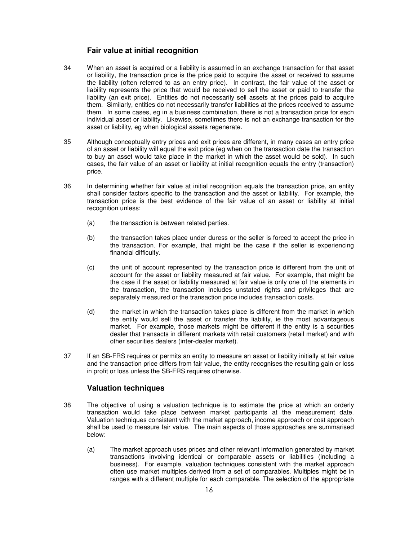#### **Fair value at initial recognition**

- 34 When an asset is acquired or a liability is assumed in an exchange transaction for that asset or liability, the transaction price is the price paid to acquire the asset or received to assume the liability (often referred to as an entry price). In contrast, the fair value of the asset or liability represents the price that would be received to sell the asset or paid to transfer the liability (an exit price). Entities do not necessarily sell assets at the prices paid to acquire them. Similarly, entities do not necessarily transfer liabilities at the prices received to assume them. In some cases, eg in a business combination, there is not a transaction price for each individual asset or liability. Likewise, sometimes there is not an exchange transaction for the asset or liability, eg when biological assets regenerate.
- 35 Although conceptually entry prices and exit prices are different, in many cases an entry price of an asset or liability will equal the exit price (eg when on the transaction date the transaction to buy an asset would take place in the market in which the asset would be sold). In such cases, the fair value of an asset or liability at initial recognition equals the entry (transaction) price.
- 36 In determining whether fair value at initial recognition equals the transaction price, an entity shall consider factors specific to the transaction and the asset or liability. For example, the transaction price is the best evidence of the fair value of an asset or liability at initial recognition unless:
	- (a) the transaction is between related parties.
	- (b) the transaction takes place under duress or the seller is forced to accept the price in the transaction. For example, that might be the case if the seller is experiencing financial difficulty.
	- (c) the unit of account represented by the transaction price is different from the unit of account for the asset or liability measured at fair value. For example, that might be the case if the asset or liability measured at fair value is only one of the elements in the transaction, the transaction includes unstated rights and privileges that are separately measured or the transaction price includes transaction costs.
	- (d) the market in which the transaction takes place is different from the market in which the entity would sell the asset or transfer the liability, ie the most advantageous market. For example, those markets might be different if the entity is a securities dealer that transacts in different markets with retail customers (retail market) and with other securities dealers (inter-dealer market).
- 37 If an SB-FRS requires or permits an entity to measure an asset or liability initially at fair value and the transaction price differs from fair value, the entity recognises the resulting gain or loss in profit or loss unless the SB-FRS requires otherwise.

#### **Valuation techniques**

- 38 The objective of using a valuation technique is to estimate the price at which an orderly transaction would take place between market participants at the measurement date. Valuation techniques consistent with the market approach, income approach or cost approach shall be used to measure fair value. The main aspects of those approaches are summarised below:
	- (a) The market approach uses prices and other relevant information generated by market transactions involving identical or comparable assets or liabilities (including a business). For example, valuation techniques consistent with the market approach often use market multiples derived from a set of comparables. Multiples might be in ranges with a different multiple for each comparable. The selection of the appropriate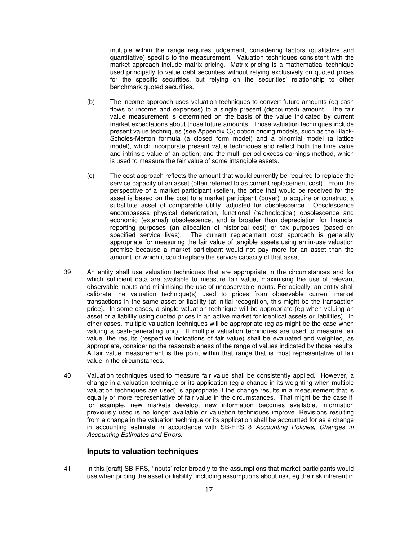multiple within the range requires judgement, considering factors (qualitative and quantitative) specific to the measurement. Valuation techniques consistent with the market approach include matrix pricing. Matrix pricing is a mathematical technique used principally to value debt securities without relying exclusively on quoted prices for the specific securities, but relying on the securities' relationship to other benchmark quoted securities.

- (b) The income approach uses valuation techniques to convert future amounts (eg cash flows or income and expenses) to a single present (discounted) amount. The fair value measurement is determined on the basis of the value indicated by current market expectations about those future amounts. Those valuation techniques include present value techniques (see Appendix C); option pricing models, such as the Black-Scholes-Merton formula (a closed form model) and a binomial model (a lattice model), which incorporate present value techniques and reflect both the time value and intrinsic value of an option; and the multi-period excess earnings method, which is used to measure the fair value of some intangible assets.
- (c) The cost approach reflects the amount that would currently be required to replace the service capacity of an asset (often referred to as current replacement cost). From the perspective of a market participant (seller), the price that would be received for the asset is based on the cost to a market participant (buyer) to acquire or construct a substitute asset of comparable utility, adjusted for obsolescence. Obsolescence encompasses physical deterioration, functional (technological) obsolescence and economic (external) obsolescence, and is broader than depreciation for financial reporting purposes (an allocation of historical cost) or tax purposes (based on specified service lives). The current replacement cost approach is generally appropriate for measuring the fair value of tangible assets using an in-use valuation premise because a market participant would not pay more for an asset than the amount for which it could replace the service capacity of that asset.
- 39 An entity shall use valuation techniques that are appropriate in the circumstances and for which sufficient data are available to measure fair value, maximising the use of relevant observable inputs and minimising the use of unobservable inputs. Periodically, an entity shall calibrate the valuation technique(s) used to prices from observable current market transactions in the same asset or liability (at initial recognition, this might be the transaction price). In some cases, a single valuation technique will be appropriate (eg when valuing an asset or a liability using quoted prices in an active market for identical assets or liabilities). In other cases, multiple valuation techniques will be appropriate (eg as might be the case when valuing a cash-generating unit). If multiple valuation techniques are used to measure fair value, the results (respective indications of fair value) shall be evaluated and weighted, as appropriate, considering the reasonableness of the range of values indicated by those results. A fair value measurement is the point within that range that is most representative of fair value in the circumstances.
- 40 Valuation techniques used to measure fair value shall be consistently applied. However, a change in a valuation technique or its application (eg a change in its weighting when multiple valuation techniques are used) is appropriate if the change results in a measurement that is equally or more representative of fair value in the circumstances. That might be the case if, for example, new markets develop, new information becomes available, information previously used is no longer available or valuation techniques improve. Revisions resulting from a change in the valuation technique or its application shall be accounted for as a change in accounting estimate in accordance with SB-FRS 8 Accounting Policies, Changes in Accounting Estimates and Errors.

#### **Inputs to valuation techniques**

41 In this [draft] SB-FRS, 'inputs' refer broadly to the assumptions that market participants would use when pricing the asset or liability, including assumptions about risk, eg the risk inherent in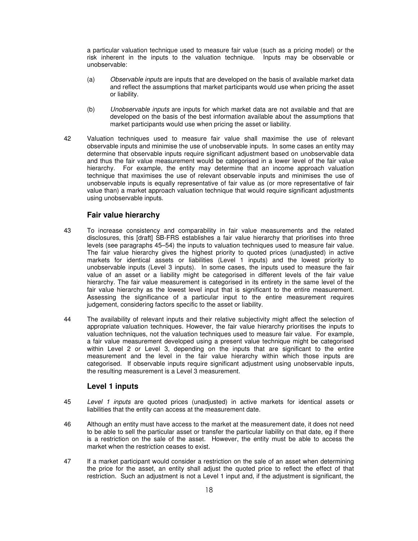a particular valuation technique used to measure fair value (such as a pricing model) or the risk inherent in the inputs to the valuation technique. Inputs may be observable or unobservable:

- (a) Observable inputs are inputs that are developed on the basis of available market data and reflect the assumptions that market participants would use when pricing the asset or liability.
- (b) Unobservable inputs are inputs for which market data are not available and that are developed on the basis of the best information available about the assumptions that market participants would use when pricing the asset or liability.
- 42 Valuation techniques used to measure fair value shall maximise the use of relevant observable inputs and minimise the use of unobservable inputs. In some cases an entity may determine that observable inputs require significant adjustment based on unobservable data and thus the fair value measurement would be categorised in a lower level of the fair value hierarchy. For example, the entity may determine that an income approach valuation technique that maximises the use of relevant observable inputs and minimises the use of unobservable inputs is equally representative of fair value as (or more representative of fair value than) a market approach valuation technique that would require significant adjustments using unobservable inputs.

#### **Fair value hierarchy**

- 43 To increase consistency and comparability in fair value measurements and the related disclosures, this [draft] SB-FRS establishes a fair value hierarchy that prioritises into three levels (see paragraphs 45–54) the inputs to valuation techniques used to measure fair value. The fair value hierarchy gives the highest priority to quoted prices (unadjusted) in active markets for identical assets or liabilities (Level 1 inputs) and the lowest priority to unobservable inputs (Level 3 inputs). In some cases, the inputs used to measure the fair value of an asset or a liability might be categorised in different levels of the fair value hierarchy. The fair value measurement is categorised in its entirety in the same level of the fair value hierarchy as the lowest level input that is significant to the entire measurement. Assessing the significance of a particular input to the entire measurement requires judgement, considering factors specific to the asset or liability.
- 44 The availability of relevant inputs and their relative subjectivity might affect the selection of appropriate valuation techniques. However, the fair value hierarchy prioritises the inputs to valuation techniques, not the valuation techniques used to measure fair value. For example, a fair value measurement developed using a present value technique might be categorised within Level 2 or Level 3, depending on the inputs that are significant to the entire measurement and the level in the fair value hierarchy within which those inputs are categorised. If observable inputs require significant adjustment using unobservable inputs, the resulting measurement is a Level 3 measurement.

#### **Level 1 inputs**

- 45 Level 1 inputs are quoted prices (unadjusted) in active markets for identical assets or liabilities that the entity can access at the measurement date.
- 46 Although an entity must have access to the market at the measurement date, it does not need to be able to sell the particular asset or transfer the particular liability on that date, eg if there is a restriction on the sale of the asset. However, the entity must be able to access the market when the restriction ceases to exist.
- 47 If a market participant would consider a restriction on the sale of an asset when determining the price for the asset, an entity shall adjust the quoted price to reflect the effect of that restriction. Such an adjustment is not a Level 1 input and, if the adjustment is significant, the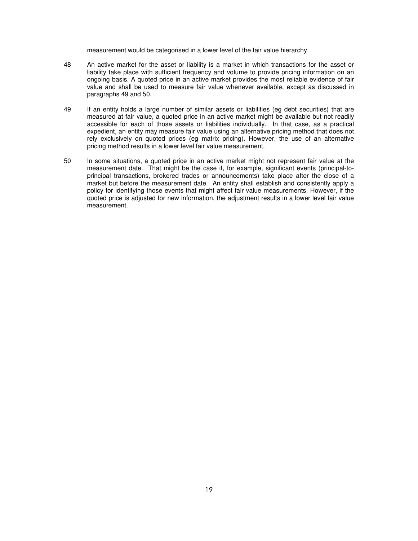measurement would be categorised in a lower level of the fair value hierarchy.

- 48 An active market for the asset or liability is a market in which transactions for the asset or liability take place with sufficient frequency and volume to provide pricing information on an ongoing basis. A quoted price in an active market provides the most reliable evidence of fair value and shall be used to measure fair value whenever available, except as discussed in paragraphs 49 and 50.
- 49 If an entity holds a large number of similar assets or liabilities (eg debt securities) that are measured at fair value, a quoted price in an active market might be available but not readily accessible for each of those assets or liabilities individually. In that case, as a practical expedient, an entity may measure fair value using an alternative pricing method that does not rely exclusively on quoted prices (eg matrix pricing). However, the use of an alternative pricing method results in a lower level fair value measurement.
- 50 In some situations, a quoted price in an active market might not represent fair value at the measurement date. That might be the case if, for example, significant events (principal-toprincipal transactions, brokered trades or announcements) take place after the close of a market but before the measurement date. An entity shall establish and consistently apply a policy for identifying those events that might affect fair value measurements. However, if the quoted price is adjusted for new information, the adjustment results in a lower level fair value measurement.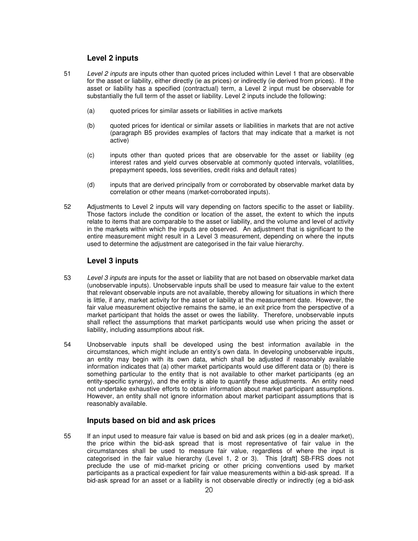#### **Level 2 inputs**

- 51 Level 2 inputs are inputs other than quoted prices included within Level 1 that are observable for the asset or liability, either directly (ie as prices) or indirectly (ie derived from prices). If the asset or liability has a specified (contractual) term, a Level 2 input must be observable for substantially the full term of the asset or liability. Level 2 inputs include the following:
	- (a) quoted prices for similar assets or liabilities in active markets
	- (b) quoted prices for identical or similar assets or liabilities in markets that are not active (paragraph B5 provides examples of factors that may indicate that a market is not active)
	- (c) inputs other than quoted prices that are observable for the asset or liability (eg interest rates and yield curves observable at commonly quoted intervals, volatilities, prepayment speeds, loss severities, credit risks and default rates)
	- (d) inputs that are derived principally from or corroborated by observable market data by correlation or other means (market-corroborated inputs).
- 52 Adjustments to Level 2 inputs will vary depending on factors specific to the asset or liability. Those factors include the condition or location of the asset, the extent to which the inputs relate to items that are comparable to the asset or liability, and the volume and level of activity in the markets within which the inputs are observed. An adjustment that is significant to the entire measurement might result in a Level 3 measurement, depending on where the inputs used to determine the adjustment are categorised in the fair value hierarchy.

#### **Level 3 inputs**

- 53 Level 3 inputs are inputs for the asset or liability that are not based on observable market data (unobservable inputs). Unobservable inputs shall be used to measure fair value to the extent that relevant observable inputs are not available, thereby allowing for situations in which there is little, if any, market activity for the asset or liability at the measurement date. However, the fair value measurement objective remains the same, ie an exit price from the perspective of a market participant that holds the asset or owes the liability. Therefore, unobservable inputs shall reflect the assumptions that market participants would use when pricing the asset or liability, including assumptions about risk.
- 54 Unobservable inputs shall be developed using the best information available in the circumstances, which might include an entity's own data. In developing unobservable inputs, an entity may begin with its own data, which shall be adjusted if reasonably available information indicates that (a) other market participants would use different data or (b) there is something particular to the entity that is not available to other market participants (eg an entity-specific synergy), and the entity is able to quantify these adjustments. An entity need not undertake exhaustive efforts to obtain information about market participant assumptions. However, an entity shall not ignore information about market participant assumptions that is reasonably available.

#### **Inputs based on bid and ask prices**

55 If an input used to measure fair value is based on bid and ask prices (eg in a dealer market), the price within the bid-ask spread that is most representative of fair value in the circumstances shall be used to measure fair value, regardless of where the input is categorised in the fair value hierarchy (Level 1, 2 or 3). This [draft] SB-FRS does not preclude the use of mid-market pricing or other pricing conventions used by market participants as a practical expedient for fair value measurements within a bid-ask spread. If a bid-ask spread for an asset or a liability is not observable directly or indirectly (eg a bid-ask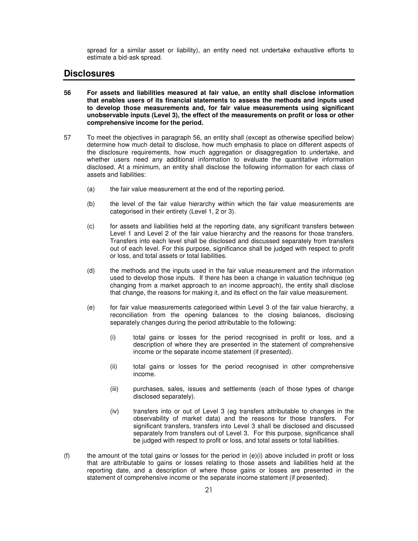spread for a similar asset or liability), an entity need not undertake exhaustive efforts to estimate a bid-ask spread.

#### **Disclosures**

- **56 For assets and liabilities measured at fair value, an entity shall disclose information that enables users of its financial statements to assess the methods and inputs used to develop those measurements and, for fair value measurements using significant unobservable inputs (Level 3), the effect of the measurements on profit or loss or other comprehensive income for the period.**
- 57 To meet the objectives in paragraph 56, an entity shall (except as otherwise specified below) determine how much detail to disclose, how much emphasis to place on different aspects of the disclosure requirements, how much aggregation or disaggregation to undertake, and whether users need any additional information to evaluate the quantitative information disclosed. At a minimum, an entity shall disclose the following information for each class of assets and liabilities:
	- (a) the fair value measurement at the end of the reporting period.
	- (b) the level of the fair value hierarchy within which the fair value measurements are categorised in their entirety (Level 1, 2 or 3).
	- (c) for assets and liabilities held at the reporting date, any significant transfers between Level 1 and Level 2 of the fair value hierarchy and the reasons for those transfers. Transfers into each level shall be disclosed and discussed separately from transfers out of each level. For this purpose, significance shall be judged with respect to profit or loss, and total assets or total liabilities.
	- (d) the methods and the inputs used in the fair value measurement and the information used to develop those inputs. If there has been a change in valuation technique (eg changing from a market approach to an income approach), the entity shall disclose that change, the reasons for making it, and its effect on the fair value measurement.
	- (e) for fair value measurements categorised within Level 3 of the fair value hierarchy, a reconciliation from the opening balances to the closing balances, disclosing separately changes during the period attributable to the following:
		- (i) total gains or losses for the period recognised in profit or loss, and a description of where they are presented in the statement of comprehensive income or the separate income statement (if presented).
		- (ii) total gains or losses for the period recognised in other comprehensive income.
		- (iii) purchases, sales, issues and settlements (each of those types of change disclosed separately).
		- (iv) transfers into or out of Level 3 (eg transfers attributable to changes in the observability of market data) and the reasons for those transfers. For significant transfers, transfers into Level 3 shall be disclosed and discussed separately from transfers out of Level 3. For this purpose, significance shall be judged with respect to profit or loss, and total assets or total liabilities.
- (f) the amount of the total gains or losses for the period in (e)(i) above included in profit or loss that are attributable to gains or losses relating to those assets and liabilities held at the reporting date, and a description of where those gains or losses are presented in the statement of comprehensive income or the separate income statement (if presented).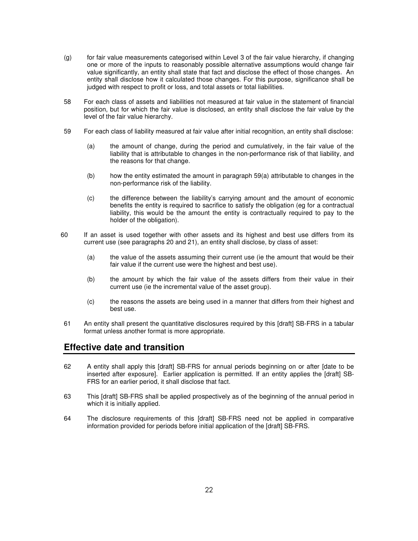- (g) for fair value measurements categorised within Level 3 of the fair value hierarchy, if changing one or more of the inputs to reasonably possible alternative assumptions would change fair value significantly, an entity shall state that fact and disclose the effect of those changes. An entity shall disclose how it calculated those changes. For this purpose, significance shall be judged with respect to profit or loss, and total assets or total liabilities.
- 58 For each class of assets and liabilities not measured at fair value in the statement of financial position, but for which the fair value is disclosed, an entity shall disclose the fair value by the level of the fair value hierarchy.
- 59 For each class of liability measured at fair value after initial recognition, an entity shall disclose:
	- (a) the amount of change, during the period and cumulatively, in the fair value of the liability that is attributable to changes in the non-performance risk of that liability, and the reasons for that change.
	- (b) how the entity estimated the amount in paragraph 59(a) attributable to changes in the non-performance risk of the liability.
	- (c) the difference between the liability's carrying amount and the amount of economic benefits the entity is required to sacrifice to satisfy the obligation (eg for a contractual liability, this would be the amount the entity is contractually required to pay to the holder of the obligation).
- 60 If an asset is used together with other assets and its highest and best use differs from its current use (see paragraphs 20 and 21), an entity shall disclose, by class of asset:
	- (a) the value of the assets assuming their current use (ie the amount that would be their fair value if the current use were the highest and best use).
	- (b) the amount by which the fair value of the assets differs from their value in their current use (ie the incremental value of the asset group).
	- (c) the reasons the assets are being used in a manner that differs from their highest and best use.
- 61 An entity shall present the quantitative disclosures required by this [draft] SB-FRS in a tabular format unless another format is more appropriate.

## **Effective date and transition**

- 62 A entity shall apply this [draft] SB-FRS for annual periods beginning on or after [date to be inserted after exposure]. Earlier application is permitted. If an entity applies the [draft] SB-FRS for an earlier period, it shall disclose that fact.
- 63 This [draft] SB-FRS shall be applied prospectively as of the beginning of the annual period in which it is initially applied.
- 64 The disclosure requirements of this [draft] SB-FRS need not be applied in comparative information provided for periods before initial application of the [draft] SB-FRS.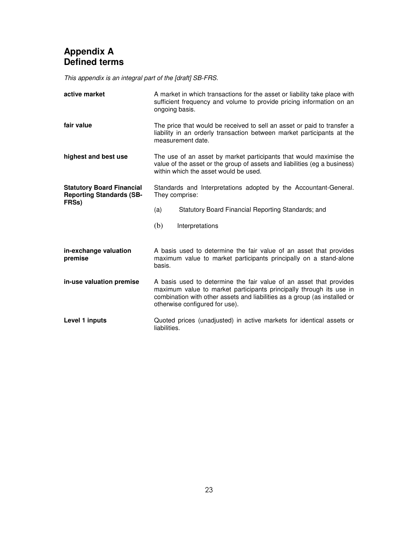## **Appendix A Defined terms**

This appendix is an integral part of the [draft] SB-FRS.

| active market                                                                | A market in which transactions for the asset or liability take place with<br>sufficient frequency and volume to provide pricing information on an<br>ongoing basis.                                                                                      |
|------------------------------------------------------------------------------|----------------------------------------------------------------------------------------------------------------------------------------------------------------------------------------------------------------------------------------------------------|
| fair value                                                                   | The price that would be received to sell an asset or paid to transfer a<br>liability in an orderly transaction between market participants at the<br>measurement date.                                                                                   |
| highest and best use                                                         | The use of an asset by market participants that would maximise the<br>value of the asset or the group of assets and liabilities (eg a business)<br>within which the asset would be used.                                                                 |
| <b>Statutory Board Financial</b><br><b>Reporting Standards (SB-</b><br>FRSs) | Standards and Interpretations adopted by the Accountant-General.<br>They comprise:                                                                                                                                                                       |
|                                                                              | (a)<br>Statutory Board Financial Reporting Standards; and                                                                                                                                                                                                |
|                                                                              | (b)<br>Interpretations                                                                                                                                                                                                                                   |
| in-exchange valuation<br>premise                                             | A basis used to determine the fair value of an asset that provides<br>maximum value to market participants principally on a stand-alone<br>basis.                                                                                                        |
| in-use valuation premise                                                     | A basis used to determine the fair value of an asset that provides<br>maximum value to market participants principally through its use in<br>combination with other assets and liabilities as a group (as installed or<br>otherwise configured for use). |
| Level 1 inputs                                                               | Quoted prices (unadjusted) in active markets for identical assets or<br>liabilities.                                                                                                                                                                     |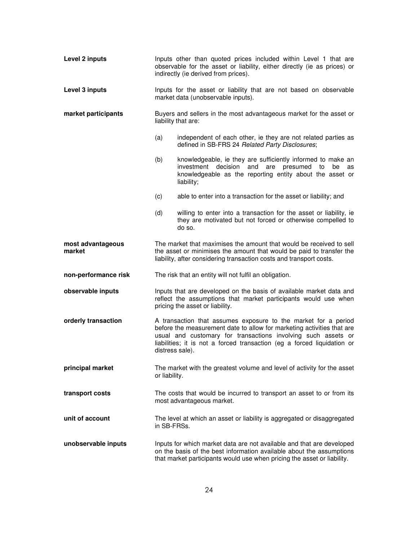| Level 2 inputs              | Inputs other than quoted prices included within Level 1 that are<br>observable for the asset or liability, either directly (ie as prices) or<br>indirectly (ie derived from prices). |                                                                                                                                                                                                                                                                                      |
|-----------------------------|--------------------------------------------------------------------------------------------------------------------------------------------------------------------------------------|--------------------------------------------------------------------------------------------------------------------------------------------------------------------------------------------------------------------------------------------------------------------------------------|
| Level 3 inputs              |                                                                                                                                                                                      | Inputs for the asset or liability that are not based on observable<br>market data (unobservable inputs).                                                                                                                                                                             |
| market participants         | Buyers and sellers in the most advantageous market for the asset or<br>liability that are:                                                                                           |                                                                                                                                                                                                                                                                                      |
|                             | (a)                                                                                                                                                                                  | independent of each other, ie they are not related parties as<br>defined in SB-FRS 24 Related Party Disclosures;                                                                                                                                                                     |
|                             | (b)                                                                                                                                                                                  | knowledgeable, ie they are sufficiently informed to make an<br>decision<br>and<br>investment<br>are presumed to<br>be<br>as<br>knowledgeable as the reporting entity about the asset or<br>liability;                                                                                |
|                             | (c)                                                                                                                                                                                  | able to enter into a transaction for the asset or liability; and                                                                                                                                                                                                                     |
|                             | (d)                                                                                                                                                                                  | willing to enter into a transaction for the asset or liability, ie<br>they are motivated but not forced or otherwise compelled to<br>do so.                                                                                                                                          |
| most advantageous<br>market |                                                                                                                                                                                      | The market that maximises the amount that would be received to sell<br>the asset or minimises the amount that would be paid to transfer the<br>liability, after considering transaction costs and transport costs.                                                                   |
| non-performance risk        |                                                                                                                                                                                      | The risk that an entity will not fulfil an obligation.                                                                                                                                                                                                                               |
| observable inputs           |                                                                                                                                                                                      | Inputs that are developed on the basis of available market data and<br>reflect the assumptions that market participants would use when<br>pricing the asset or liability.                                                                                                            |
| orderly transaction         | distress sale).                                                                                                                                                                      | A transaction that assumes exposure to the market for a period<br>before the measurement date to allow for marketing activities that are<br>usual and customary for transactions involving such assets or<br>liabilities; it is not a forced transaction (eg a forced liquidation or |
| principal market            | or liability.                                                                                                                                                                        | The market with the greatest volume and level of activity for the asset                                                                                                                                                                                                              |
| transport costs             |                                                                                                                                                                                      | The costs that would be incurred to transport an asset to or from its<br>most advantageous market.                                                                                                                                                                                   |
| unit of account             | in SB-FRSs.                                                                                                                                                                          | The level at which an asset or liability is aggregated or disaggregated                                                                                                                                                                                                              |
| unobservable inputs         |                                                                                                                                                                                      | Inputs for which market data are not available and that are developed<br>on the basis of the best information available about the assumptions<br>that market participants would use when pricing the asset or liability.                                                             |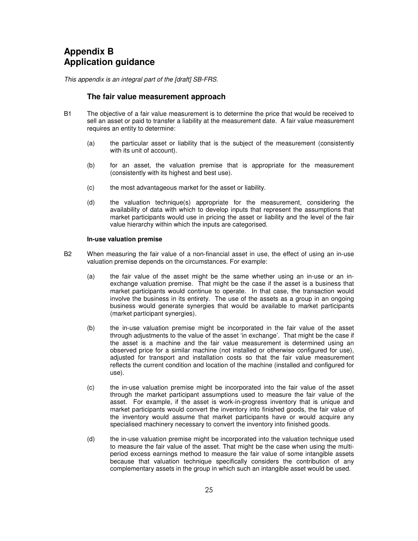## **Appendix B Application guidance**

This appendix is an integral part of the [draft] SB-FRS.

#### **The fair value measurement approach**

- B1 The objective of a fair value measurement is to determine the price that would be received to sell an asset or paid to transfer a liability at the measurement date. A fair value measurement requires an entity to determine:
	- (a) the particular asset or liability that is the subject of the measurement (consistently with its unit of account).
	- (b) for an asset, the valuation premise that is appropriate for the measurement (consistently with its highest and best use).
	- (c) the most advantageous market for the asset or liability.
	- (d) the valuation technique(s) appropriate for the measurement, considering the availability of data with which to develop inputs that represent the assumptions that market participants would use in pricing the asset or liability and the level of the fair value hierarchy within which the inputs are categorised.

#### **In-use valuation premise**

- B2 When measuring the fair value of a non-financial asset in use, the effect of using an in-use valuation premise depends on the circumstances. For example:
	- (a) the fair value of the asset might be the same whether using an in-use or an inexchange valuation premise. That might be the case if the asset is a business that market participants would continue to operate. In that case, the transaction would involve the business in its entirety. The use of the assets as a group in an ongoing business would generate synergies that would be available to market participants (market participant synergies).
	- (b) the in-use valuation premise might be incorporated in the fair value of the asset through adjustments to the value of the asset 'in exchange'. That might be the case if the asset is a machine and the fair value measurement is determined using an observed price for a similar machine (not installed or otherwise configured for use), adjusted for transport and installation costs so that the fair value measurement reflects the current condition and location of the machine (installed and configured for use).
	- (c) the in-use valuation premise might be incorporated into the fair value of the asset through the market participant assumptions used to measure the fair value of the asset. For example, if the asset is work-in-progress inventory that is unique and market participants would convert the inventory into finished goods, the fair value of the inventory would assume that market participants have or would acquire any specialised machinery necessary to convert the inventory into finished goods.
	- (d) the in-use valuation premise might be incorporated into the valuation technique used to measure the fair value of the asset. That might be the case when using the multiperiod excess earnings method to measure the fair value of some intangible assets because that valuation technique specifically considers the contribution of any complementary assets in the group in which such an intangible asset would be used.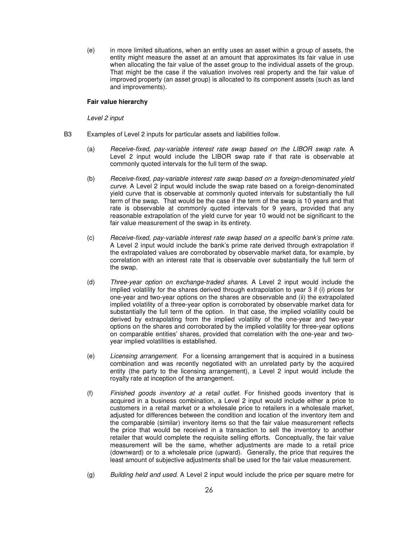(e) in more limited situations, when an entity uses an asset within a group of assets, the entity might measure the asset at an amount that approximates its fair value in use when allocating the fair value of the asset group to the individual assets of the group. That might be the case if the valuation involves real property and the fair value of improved property (an asset group) is allocated to its component assets (such as land and improvements).

#### **Fair value hierarchy**

#### Level 2 input

- B3 Examples of Level 2 inputs for particular assets and liabilities follow.
	- (a) Receive-fixed, pay-variable interest rate swap based on the LIBOR swap rate. A Level 2 input would include the LIBOR swap rate if that rate is observable at commonly quoted intervals for the full term of the swap.
	- (b) Receive-fixed, pay-variable interest rate swap based on a foreign-denominated yield curve. A Level 2 input would include the swap rate based on a foreign-denominated yield curve that is observable at commonly quoted intervals for substantially the full term of the swap. That would be the case if the term of the swap is 10 years and that rate is observable at commonly quoted intervals for 9 years, provided that any reasonable extrapolation of the yield curve for year 10 would not be significant to the fair value measurement of the swap in its entirety.
	- (c) Receive-fixed, pay-variable interest rate swap based on a specific bank's prime rate. A Level 2 input would include the bank's prime rate derived through extrapolation if the extrapolated values are corroborated by observable market data, for example, by correlation with an interest rate that is observable over substantially the full term of the swap.
	- (d) Three-year option on exchange-traded shares. A Level 2 input would include the implied volatility for the shares derived through extrapolation to year 3 if (i) prices for one-year and two-year options on the shares are observable and (ii) the extrapolated implied volatility of a three-year option is corroborated by observable market data for substantially the full term of the option. In that case, the implied volatility could be derived by extrapolating from the implied volatility of the one-year and two-year options on the shares and corroborated by the implied volatility for three-year options on comparable entities' shares, provided that correlation with the one-year and twoyear implied volatilities is established.
	- (e) Licensing arrangement. For a licensing arrangement that is acquired in a business combination and was recently negotiated with an unrelated party by the acquired entity (the party to the licensing arrangement), a Level 2 input would include the royalty rate at inception of the arrangement.
	- (f) Finished goods inventory at a retail outlet. For finished goods inventory that is acquired in a business combination, a Level 2 input would include either a price to customers in a retail market or a wholesale price to retailers in a wholesale market, adjusted for differences between the condition and location of the inventory item and the comparable (similar) inventory items so that the fair value measurement reflects the price that would be received in a transaction to sell the inventory to another retailer that would complete the requisite selling efforts. Conceptually, the fair value measurement will be the same, whether adjustments are made to a retail price (downward) or to a wholesale price (upward). Generally, the price that requires the least amount of subjective adjustments shall be used for the fair value measurement.
	- (g) Building held and used. A Level 2 input would include the price per square metre for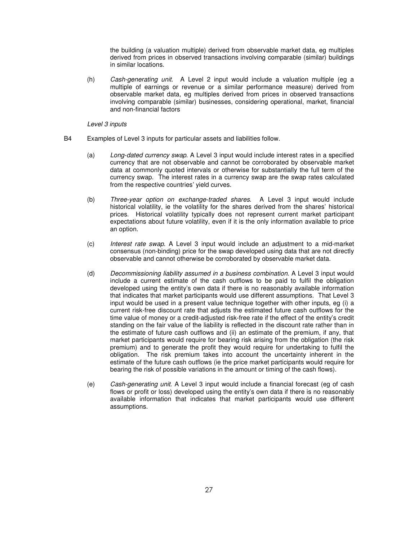the building (a valuation multiple) derived from observable market data, eg multiples derived from prices in observed transactions involving comparable (similar) buildings in similar locations.

(h) Cash-generating unit. A Level 2 input would include a valuation multiple (eg a multiple of earnings or revenue or a similar performance measure) derived from observable market data, eg multiples derived from prices in observed transactions involving comparable (similar) businesses, considering operational, market, financial and non-financial factors

#### Level 3 inputs

- B4 Examples of Level 3 inputs for particular assets and liabilities follow.
	- (a) Long-dated currency swap. A Level 3 input would include interest rates in a specified currency that are not observable and cannot be corroborated by observable market data at commonly quoted intervals or otherwise for substantially the full term of the currency swap. The interest rates in a currency swap are the swap rates calculated from the respective countries' yield curves.
	- (b) Three-year option on exchange-traded shares. A Level 3 input would include historical volatility, ie the volatility for the shares derived from the shares' historical prices. Historical volatility typically does not represent current market participant expectations about future volatility, even if it is the only information available to price an option.
	- (c) Interest rate swap. A Level 3 input would include an adjustment to a mid-market consensus (non-binding) price for the swap developed using data that are not directly observable and cannot otherwise be corroborated by observable market data.
	- (d) Decommissioning liability assumed in a business combination. A Level 3 input would include a current estimate of the cash outflows to be paid to fulfil the obligation developed using the entity's own data if there is no reasonably available information that indicates that market participants would use different assumptions. That Level 3 input would be used in a present value technique together with other inputs, eg (i) a current risk-free discount rate that adjusts the estimated future cash outflows for the time value of money or a credit-adjusted risk-free rate if the effect of the entity's credit standing on the fair value of the liability is reflected in the discount rate rather than in the estimate of future cash outflows and (ii) an estimate of the premium, if any, that market participants would require for bearing risk arising from the obligation (the risk premium) and to generate the profit they would require for undertaking to fulfil the obligation. The risk premium takes into account the uncertainty inherent in the estimate of the future cash outflows (ie the price market participants would require for bearing the risk of possible variations in the amount or timing of the cash flows).
	- (e) Cash-generating unit. A Level 3 input would include a financial forecast (eg of cash flows or profit or loss) developed using the entity's own data if there is no reasonably available information that indicates that market participants would use different assumptions.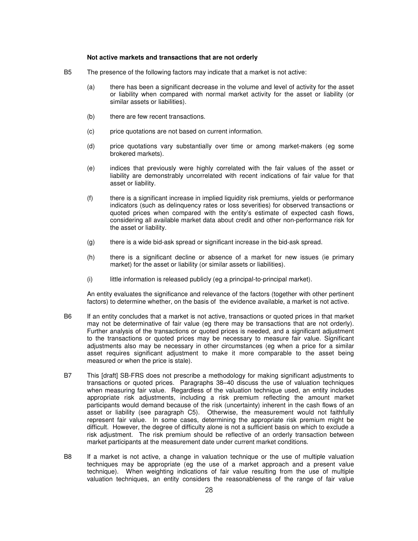#### **Not active markets and transactions that are not orderly**

- B5 The presence of the following factors may indicate that a market is not active:
	- (a) there has been a significant decrease in the volume and level of activity for the asset or liability when compared with normal market activity for the asset or liability (or similar assets or liabilities).
	- (b) there are few recent transactions.
	- (c) price quotations are not based on current information.
	- (d) price quotations vary substantially over time or among market-makers (eg some brokered markets).
	- (e) indices that previously were highly correlated with the fair values of the asset or liability are demonstrably uncorrelated with recent indications of fair value for that asset or liability.
	- (f) there is a significant increase in implied liquidity risk premiums, yields or performance indicators (such as delinquency rates or loss severities) for observed transactions or quoted prices when compared with the entity's estimate of expected cash flows, considering all available market data about credit and other non-performance risk for the asset or liability.
	- (g) there is a wide bid-ask spread or significant increase in the bid-ask spread.
	- (h) there is a significant decline or absence of a market for new issues (ie primary market) for the asset or liability (or similar assets or liabilities).
	- (i) little information is released publicly (eg a principal-to-principal market).

An entity evaluates the significance and relevance of the factors (together with other pertinent factors) to determine whether, on the basis of the evidence available, a market is not active.

- B6 If an entity concludes that a market is not active, transactions or quoted prices in that market may not be determinative of fair value (eg there may be transactions that are not orderly). Further analysis of the transactions or quoted prices is needed, and a significant adjustment to the transactions or quoted prices may be necessary to measure fair value. Significant adjustments also may be necessary in other circumstances (eg when a price for a similar asset requires significant adjustment to make it more comparable to the asset being measured or when the price is stale).
- B7 This [draft] SB-FRS does not prescribe a methodology for making significant adjustments to transactions or quoted prices. Paragraphs 38–40 discuss the use of valuation techniques when measuring fair value. Regardless of the valuation technique used, an entity includes appropriate risk adjustments, including a risk premium reflecting the amount market participants would demand because of the risk (uncertainty) inherent in the cash flows of an asset or liability (see paragraph C5). Otherwise, the measurement would not faithfully represent fair value. In some cases, determining the appropriate risk premium might be difficult. However, the degree of difficulty alone is not a sufficient basis on which to exclude a risk adjustment. The risk premium should be reflective of an orderly transaction between market participants at the measurement date under current market conditions.
- B8 If a market is not active, a change in valuation technique or the use of multiple valuation techniques may be appropriate (eg the use of a market approach and a present value technique). When weighting indications of fair value resulting from the use of multiple valuation techniques, an entity considers the reasonableness of the range of fair value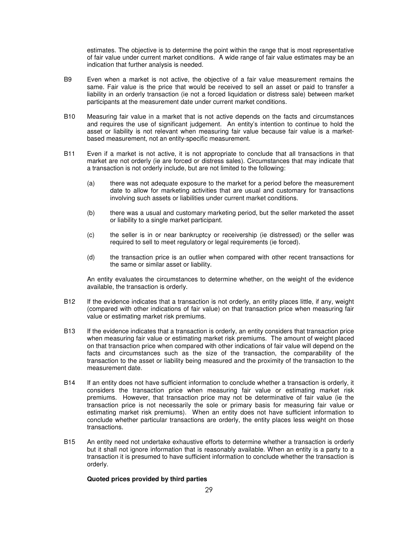estimates. The objective is to determine the point within the range that is most representative of fair value under current market conditions. A wide range of fair value estimates may be an indication that further analysis is needed.

- B9 Even when a market is not active, the objective of a fair value measurement remains the same. Fair value is the price that would be received to sell an asset or paid to transfer a liability in an orderly transaction (ie not a forced liquidation or distress sale) between market participants at the measurement date under current market conditions.
- B10 Measuring fair value in a market that is not active depends on the facts and circumstances and requires the use of significant judgement. An entity's intention to continue to hold the asset or liability is not relevant when measuring fair value because fair value is a marketbased measurement, not an entity-specific measurement.
- B11 Even if a market is not active, it is not appropriate to conclude that all transactions in that market are not orderly (ie are forced or distress sales). Circumstances that may indicate that a transaction is not orderly include, but are not limited to the following:
	- (a) there was not adequate exposure to the market for a period before the measurement date to allow for marketing activities that are usual and customary for transactions involving such assets or liabilities under current market conditions.
	- (b) there was a usual and customary marketing period, but the seller marketed the asset or liability to a single market participant.
	- (c) the seller is in or near bankruptcy or receivership (ie distressed) or the seller was required to sell to meet regulatory or legal requirements (ie forced).
	- (d) the transaction price is an outlier when compared with other recent transactions for the same or similar asset or liability.

An entity evaluates the circumstances to determine whether, on the weight of the evidence available, the transaction is orderly.

- B12 If the evidence indicates that a transaction is not orderly, an entity places little, if any, weight (compared with other indications of fair value) on that transaction price when measuring fair value or estimating market risk premiums.
- B13 If the evidence indicates that a transaction is orderly, an entity considers that transaction price when measuring fair value or estimating market risk premiums. The amount of weight placed on that transaction price when compared with other indications of fair value will depend on the facts and circumstances such as the size of the transaction, the comparability of the transaction to the asset or liability being measured and the proximity of the transaction to the measurement date.
- B14 If an entity does not have sufficient information to conclude whether a transaction is orderly, it considers the transaction price when measuring fair value or estimating market risk premiums. However, that transaction price may not be determinative of fair value (ie the transaction price is not necessarily the sole or primary basis for measuring fair value or estimating market risk premiums). When an entity does not have sufficient information to conclude whether particular transactions are orderly, the entity places less weight on those transactions.
- B15 An entity need not undertake exhaustive efforts to determine whether a transaction is orderly but it shall not ignore information that is reasonably available. When an entity is a party to a transaction it is presumed to have sufficient information to conclude whether the transaction is orderly.

#### **Quoted prices provided by third parties**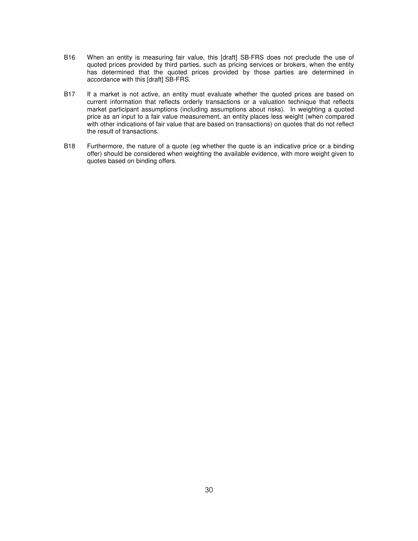- B16 When an entity is measuring fair value, this [draft] SB-FRS does not preclude the use of quoted prices provided by third parties, such as pricing services or brokers, when the entity has determined that the quoted prices provided by those parties are determined in accordance with this [draft] SB-FRS.
- B17 If a market is not active, an entity must evaluate whether the quoted prices are based on current information that reflects orderly transactions or a valuation technique that reflects market participant assumptions (including assumptions about risks). In weighting a quoted price as an input to a fair value measurement, an entity places less weight (when compared with other indications of fair value that are based on transactions) on quotes that do not reflect the result of transactions.
- B18 Furthermore, the nature of a quote (eg whether the quote is an indicative price or a binding offer) should be considered when weighting the available evidence, with more weight given to quotes based on binding offers.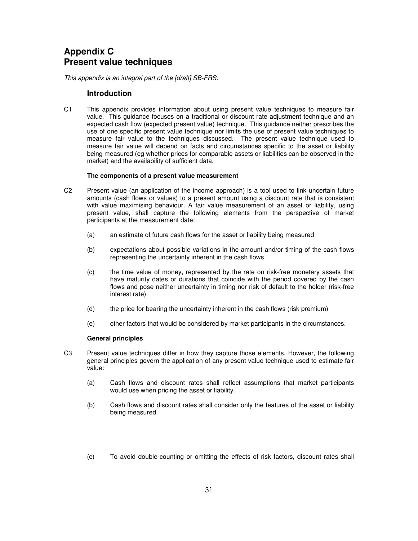## **Appendix C Present value techniques**

This appendix is an integral part of the [draft] SB-FRS.

#### **Introduction**

C1 This appendix provides information about using present value techniques to measure fair value. This guidance focuses on a traditional or discount rate adjustment technique and an expected cash flow (expected present value) technique. This guidance neither prescribes the use of one specific present value technique nor limits the use of present value techniques to measure fair value to the techniques discussed. The present value technique used to measure fair value will depend on facts and circumstances specific to the asset or liability being measured (eg whether prices for comparable assets or liabilities can be observed in the market) and the availability of sufficient data.

#### **The components of a present value measurement**

- C2 Present value (an application of the income approach) is a tool used to link uncertain future amounts (cash flows or values) to a present amount using a discount rate that is consistent with value maximising behaviour. A fair value measurement of an asset or liability, using present value, shall capture the following elements from the perspective of market participants at the measurement date:
	- (a) an estimate of future cash flows for the asset or liability being measured
	- (b) expectations about possible variations in the amount and/or timing of the cash flows representing the uncertainty inherent in the cash flows
	- (c) the time value of money, represented by the rate on risk-free monetary assets that have maturity dates or durations that coincide with the period covered by the cash flows and pose neither uncertainty in timing nor risk of default to the holder (risk-free interest rate)
	- (d) the price for bearing the uncertainty inherent in the cash flows (risk premium)
	- (e) other factors that would be considered by market participants in the circumstances.

#### **General principles**

- C3 Present value techniques differ in how they capture those elements. However, the following general principles govern the application of any present value technique used to estimate fair value:
	- (a) Cash flows and discount rates shall reflect assumptions that market participants would use when pricing the asset or liability.
	- (b) Cash flows and discount rates shall consider only the features of the asset or liability being measured.
	- (c) To avoid double-counting or omitting the effects of risk factors, discount rates shall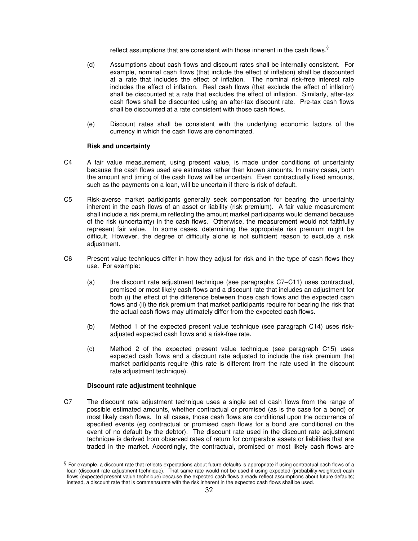reflect assumptions that are consistent with those inherent in the cash flows.<sup>§</sup>

- (d) Assumptions about cash flows and discount rates shall be internally consistent. For example, nominal cash flows (that include the effect of inflation) shall be discounted at a rate that includes the effect of inflation. The nominal risk-free interest rate includes the effect of inflation. Real cash flows (that exclude the effect of inflation) shall be discounted at a rate that excludes the effect of inflation. Similarly, after-tax cash flows shall be discounted using an after-tax discount rate. Pre-tax cash flows shall be discounted at a rate consistent with those cash flows.
- (e) Discount rates shall be consistent with the underlying economic factors of the currency in which the cash flows are denominated.

#### **Risk and uncertainty**

- C4 A fair value measurement, using present value, is made under conditions of uncertainty because the cash flows used are estimates rather than known amounts. In many cases, both the amount and timing of the cash flows will be uncertain. Even contractually fixed amounts, such as the payments on a loan, will be uncertain if there is risk of default.
- C5 Risk-averse market participants generally seek compensation for bearing the uncertainty inherent in the cash flows of an asset or liability (risk premium). A fair value measurement shall include a risk premium reflecting the amount market participants would demand because of the risk (uncertainty) in the cash flows. Otherwise, the measurement would not faithfully represent fair value. In some cases, determining the appropriate risk premium might be difficult. However, the degree of difficulty alone is not sufficient reason to exclude a risk adjustment.
- C6 Present value techniques differ in how they adjust for risk and in the type of cash flows they use. For example:
	- (a) the discount rate adjustment technique (see paragraphs C7–C11) uses contractual, promised or most likely cash flows and a discount rate that includes an adjustment for both (i) the effect of the difference between those cash flows and the expected cash flows and (ii) the risk premium that market participants require for bearing the risk that the actual cash flows may ultimately differ from the expected cash flows.
	- (b) Method 1 of the expected present value technique (see paragraph C14) uses riskadjusted expected cash flows and a risk-free rate.
	- (c) Method 2 of the expected present value technique (see paragraph C15) uses expected cash flows and a discount rate adjusted to include the risk premium that market participants require (this rate is different from the rate used in the discount rate adjustment technique).

#### **Discount rate adjustment technique**

 $\overline{a}$ 

C7 The discount rate adjustment technique uses a single set of cash flows from the range of possible estimated amounts, whether contractual or promised (as is the case for a bond) or most likely cash flows. In all cases, those cash flows are conditional upon the occurrence of specified events (eg contractual or promised cash flows for a bond are conditional on the event of no default by the debtor). The discount rate used in the discount rate adjustment technique is derived from observed rates of return for comparable assets or liabilities that are traded in the market. Accordingly, the contractual, promised or most likely cash flows are

 $§$  For example, a discount rate that reflects expectations about future defaults is appropriate if using contractual cash flows of a loan (discount rate adjustment technique). That same rate would not be used if using expected (probability-weighted) cash flows (expected present value technique) because the expected cash flows already reflect assumptions about future defaults; instead, a discount rate that is commensurate with the risk inherent in the expected cash flows shall be used.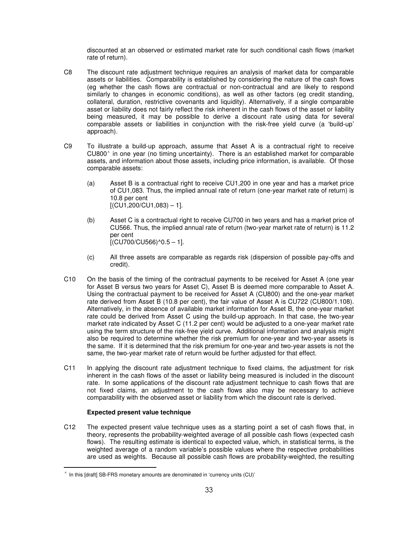discounted at an observed or estimated market rate for such conditional cash flows (market rate of return).

- C8 The discount rate adjustment technique requires an analysis of market data for comparable assets or liabilities. Comparability is established by considering the nature of the cash flows (eg whether the cash flows are contractual or non-contractual and are likely to respond similarly to changes in economic conditions), as well as other factors (eg credit standing, collateral, duration, restrictive covenants and liquidity). Alternatively, if a single comparable asset or liability does not fairly reflect the risk inherent in the cash flows of the asset or liability being measured, it may be possible to derive a discount rate using data for several comparable assets or liabilities in conjunction with the risk-free yield curve (a 'build-up' approach).
- C9 To illustrate a build-up approach, assume that Asset A is a contractual right to receive  $CU800<sup>^</sup>$  in one year (no timing uncertainty). There is an established market for comparable assets, and information about those assets, including price information, is available. Of those comparable assets:
	- (a) Asset B is a contractual right to receive CU1,200 in one year and has a market price of CU1,083. Thus, the implied annual rate of return (one-year market rate of return) is 10.8 per cent  $[(CU1, 200/CU1, 083) - 1]$ .
	- (b) Asset C is a contractual right to receive CU700 in two years and has a market price of CU566. Thus, the implied annual rate of return (two-year market rate of return) is 11.2 per cent  $[(CU700/CU566)^0.5 - 1]$ .
	- (c) All three assets are comparable as regards risk (dispersion of possible pay-offs and credit).
- C10 On the basis of the timing of the contractual payments to be received for Asset A (one year for Asset B versus two years for Asset C), Asset B is deemed more comparable to Asset A. Using the contractual payment to be received for Asset A (CU800) and the one-year market rate derived from Asset B (10.8 per cent), the fair value of Asset A is CU722 (CU800/1.108). Alternatively, in the absence of available market information for Asset B, the one-year market rate could be derived from Asset C using the build-up approach. In that case, the two-year market rate indicated by Asset C (11.2 per cent) would be adjusted to a one-year market rate using the term structure of the risk-free yield curve. Additional information and analysis might also be required to determine whether the risk premium for one-year and two-year assets is the same. If it is determined that the risk premium for one-year and two-year assets is not the same, the two-year market rate of return would be further adjusted for that effect.
- C11 In applying the discount rate adjustment technique to fixed claims, the adjustment for risk inherent in the cash flows of the asset or liability being measured is included in the discount rate. In some applications of the discount rate adjustment technique to cash flows that are not fixed claims, an adjustment to the cash flows also may be necessary to achieve comparability with the observed asset or liability from which the discount rate is derived.

#### **Expected present value technique**

 $\overline{a}$ 

C12 The expected present value technique uses as a starting point a set of cash flows that, in theory, represents the probability-weighted average of all possible cash flows (expected cash flows). The resulting estimate is identical to expected value, which, in statistical terms, is the weighted average of a random variable's possible values where the respective probabilities are used as weights. Because all possible cash flows are probability-weighted, the resulting

In this [draft] SB-FRS monetary amounts are denominated in 'currency units (CU)'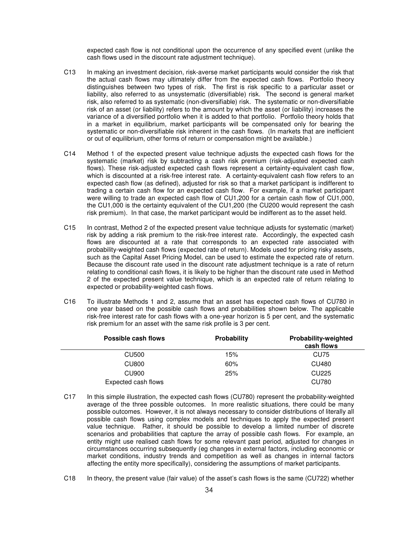expected cash flow is not conditional upon the occurrence of any specified event (unlike the cash flows used in the discount rate adjustment technique).

- C13 In making an investment decision, risk-averse market participants would consider the risk that the actual cash flows may ultimately differ from the expected cash flows. Portfolio theory distinguishes between two types of risk. The first is risk specific to a particular asset or liability, also referred to as unsystematic (diversifiable) risk. The second is general market risk, also referred to as systematic (non-diversifiable) risk. The systematic or non-diversifiable risk of an asset (or liability) refers to the amount by which the asset (or liability) increases the variance of a diversified portfolio when it is added to that portfolio. Portfolio theory holds that in a market in equilibrium, market participants will be compensated only for bearing the systematic or non-diversifiable risk inherent in the cash flows. (In markets that are inefficient or out of equilibrium, other forms of return or compensation might be available.)
- C14 Method 1 of the expected present value technique adjusts the expected cash flows for the systematic (market) risk by subtracting a cash risk premium (risk-adjusted expected cash flows). These risk-adjusted expected cash flows represent a certainty-equivalent cash flow, which is discounted at a risk-free interest rate. A certainty-equivalent cash flow refers to an expected cash flow (as defined), adjusted for risk so that a market participant is indifferent to trading a certain cash flow for an expected cash flow. For example, if a market participant were willing to trade an expected cash flow of CU1,200 for a certain cash flow of CU1,000, the CU1,000 is the certainty equivalent of the CU1,200 (the CU200 would represent the cash risk premium). In that case, the market participant would be indifferent as to the asset held.
- C15 In contrast, Method 2 of the expected present value technique adjusts for systematic (market) risk by adding a risk premium to the risk-free interest rate. Accordingly, the expected cash flows are discounted at a rate that corresponds to an expected rate associated with probability-weighted cash flows (expected rate of return). Models used for pricing risky assets, such as the Capital Asset Pricing Model, can be used to estimate the expected rate of return. Because the discount rate used in the discount rate adjustment technique is a rate of return relating to conditional cash flows, it is likely to be higher than the discount rate used in Method 2 of the expected present value technique, which is an expected rate of return relating to expected or probability-weighted cash flows.
- C16 To illustrate Methods 1 and 2, assume that an asset has expected cash flows of CU780 in one year based on the possible cash flows and probabilities shown below. The applicable risk-free interest rate for cash flows with a one-year horizon is 5 per cent, and the systematic risk premium for an asset with the same risk profile is 3 per cent.

| Possible cash flows | <b>Probability</b> | Probability-weighted<br>cash flows |
|---------------------|--------------------|------------------------------------|
| CU500               | 15%                | CU75                               |
| <b>CU800</b>        | 60%                | CU480                              |
| <b>CU900</b>        | 25%                | <b>CU225</b>                       |
| Expected cash flows |                    | <b>CU780</b>                       |

- C17 In this simple illustration, the expected cash flows (CU780) represent the probability-weighted average of the three possible outcomes. In more realistic situations, there could be many possible outcomes. However, it is not always necessary to consider distributions of literally all possible cash flows using complex models and techniques to apply the expected present value technique. Rather, it should be possible to develop a limited number of discrete scenarios and probabilities that capture the array of possible cash flows. For example, an entity might use realised cash flows for some relevant past period, adjusted for changes in circumstances occurring subsequently (eg changes in external factors, including economic or market conditions, industry trends and competition as well as changes in internal factors affecting the entity more specifically), considering the assumptions of market participants.
- C18 In theory, the present value (fair value) of the asset's cash flows is the same (CU722) whether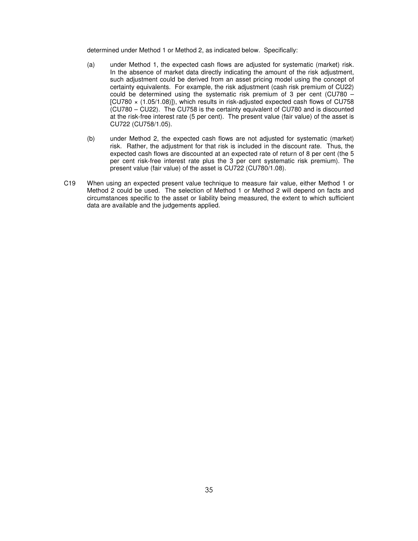determined under Method 1 or Method 2, as indicated below. Specifically:

- (a) under Method 1, the expected cash flows are adjusted for systematic (market) risk. In the absence of market data directly indicating the amount of the risk adjustment, such adjustment could be derived from an asset pricing model using the concept of certainty equivalents. For example, the risk adjustment (cash risk premium of CU22) could be determined using the systematic risk premium of 3 per cent (CU780 – [CU780 × (1.05/1.08)]), which results in risk-adjusted expected cash flows of CU758 (CU780 – CU22). The CU758 is the certainty equivalent of CU780 and is discounted at the risk-free interest rate (5 per cent). The present value (fair value) of the asset is CU722 (CU758/1.05).
- (b) under Method 2, the expected cash flows are not adjusted for systematic (market) risk. Rather, the adjustment for that risk is included in the discount rate. Thus, the expected cash flows are discounted at an expected rate of return of 8 per cent (the 5 per cent risk-free interest rate plus the 3 per cent systematic risk premium). The present value (fair value) of the asset is CU722 (CU780/1.08).
- C19 When using an expected present value technique to measure fair value, either Method 1 or Method 2 could be used. The selection of Method 1 or Method 2 will depend on facts and circumstances specific to the asset or liability being measured, the extent to which sufficient data are available and the judgements applied.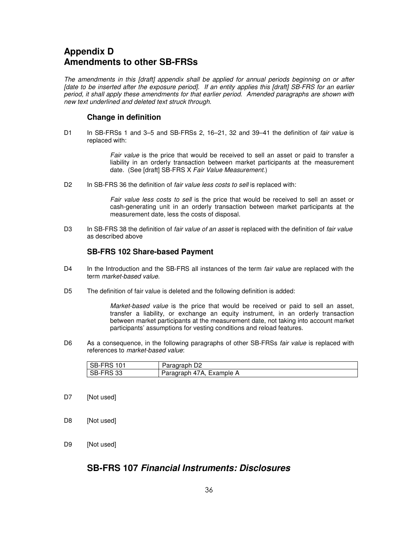## **Appendix D Amendments to other SB-FRSs**

The amendments in this [draft] appendix shall be applied for annual periods beginning on or after [date to be inserted after the exposure period]. If an entity applies this [draft] SB-FRS for an earlier period, it shall apply these amendments for that earlier period. Amended paragraphs are shown with new text underlined and deleted text struck through.

#### **Change in definition**

D1 In SB-FRSs 1 and 3-5 and SB-FRSs 2, 16-21, 32 and 39-41 the definition of fair value is replaced with:

> Fair value is the price that would be received to sell an asset or paid to transfer a liability in an orderly transaction between market participants at the measurement date. (See [draft] SB-FRS X Fair Value Measurement.)

D2 In SB-FRS 36 the definition of fair value less costs to sell is replaced with:

Fair value less costs to sell is the price that would be received to sell an asset or cash-generating unit in an orderly transaction between market participants at the measurement date, less the costs of disposal.

D3 In SB-FRS 38 the definition of fair value of an asset is replaced with the definition of fair value as described above

#### **SB-FRS 102 Share-based Payment**

- D4 In the Introduction and the SB-FRS all instances of the term *fair value* are replaced with the term market-based value.
- D5 The definition of fair value is deleted and the following definition is added:

Market-based value is the price that would be received or paid to sell an asset, transfer a liability, or exchange an equity instrument, in an orderly transaction between market participants at the measurement date, not taking into account market participants' assumptions for vesting conditions and reload features.

D6 As a consequence, in the following paragraphs of other SB-FRSs *fair value* is replaced with references to market-based value:

| SB-FRS<br>101 | Paragraph D2                               |
|---------------|--------------------------------------------|
| SB-FRS 33     | Example A<br>Paragraph 47A, $\overline{ }$ |

- D7 [Not used]
- D8 [Not used]
- D9 [Not used]

## **SB-FRS 107 Financial Instruments: Disclosures**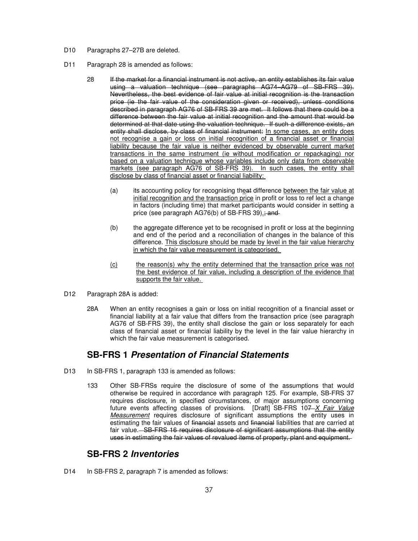- D10 Paragraphs 27–27B are deleted.
- D11 Paragraph 28 is amended as follows:
	- 28 If the market for a financial instrument is not active, an entity establishes its fair value using a valuation technique (see paragraphs AG74–AG79 of SB-FRS 39). Nevertheless, the best evidence of fair value at initial recognition is the transaction price (ie the fair value of the consideration given or received), unless conditions described in paragraph AG76 of SB-FRS 39 are met. It follows that there could be a difference between the fair value at initial recognition and the amount that would be determined at that date using the valuation technique. If such a difference exists, an entity shall disclose, by class of financial instrument: In some cases, an entity does not recognise a gain or loss on initial recognition of a financial asset or financial liability because the fair value is neither evidenced by observable current market transactions in the same instrument (ie without modification or repackaging) nor based on a valuation technique whose variables include only data from observable markets (see paragraph AG76 of SB-FRS 39). In such cases, the entity shall disclose by class of financial asset or financial liability:
		- (a) its accounting policy for recognising theat difference between the fair value at initial recognition and the transaction price in profit or loss to ref lect a change in factors (including time) that market participants would consider in setting a price (see paragraph  $AG76(b)$  of SB-FRS 39).; and
		- (b) the aggregate difference yet to be recognised in profit or loss at the beginning and end of the period and a reconciliation of changes in the balance of this difference. This disclosure should be made by level in the fair value hierarchy in which the fair value measurement is categorised.
		- (c) the reason(s) why the entity determined that the transaction price was not the best evidence of fair value, including a description of the evidence that supports the fair value.
- D12 Paragraph 28A is added:
	- 28A When an entity recognises a gain or loss on initial recognition of a financial asset or financial liability at a fair value that differs from the transaction price (see paragraph AG76 of SB-FRS 39), the entity shall disclose the gain or loss separately for each class of financial asset or financial liability by the level in the fair value hierarchy in which the fair value measurement is categorised.

## **SB-FRS 1 Presentation of Financial Statements**

- D13 In SB-FRS 1, paragraph 133 is amended as follows:
	- 133 Other SB-FRSs require the disclosure of some of the assumptions that would otherwise be required in accordance with paragraph 125. For example, SB-FRS 37 requires disclosure, in specified circumstances, of major assumptions concerning future events affecting classes of provisions. [Draft] SB-FRS 107-X Fair Value Measurement requires disclosure of significant assumptions the entity uses in estimating the fair values of financial assets and financial liabilities that are carried at fair value. SB-FRS 16 requires disclosure of significant assumptions that the entity uses in estimating the fair values of revalued items of property, plant and equipment.

## **SB-FRS 2 Inventories**

D14 In SB-FRS 2, paragraph 7 is amended as follows: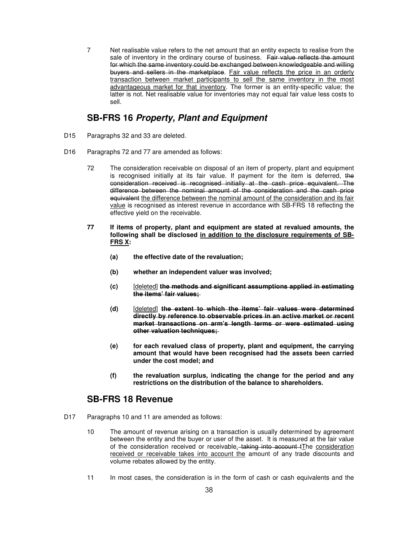7 Net realisable value refers to the net amount that an entity expects to realise from the sale of inventory in the ordinary course of business. Fair value reflects the amount for which the same inventory could be exchanged between knowledgeable and willing buyers and sellers in the marketplace. Fair value reflects the price in an orderly transaction between market participants to sell the same inventory in the most advantageous market for that inventory. The former is an entity-specific value; the latter is not. Net realisable value for inventories may not equal fair value less costs to sell.

## **SB-FRS 16 Property, Plant and Equipment**

- D15 Paragraphs 32 and 33 are deleted.
- D16 Paragraphs 72 and 77 are amended as follows:
	- 72 The consideration receivable on disposal of an item of property, plant and equipment is recognised initially at its fair value. If payment for the item is deferred, the consideration received is recognised initially at the cash price equivalent. The difference between the nominal amount of the consideration and the cash price equivalent the difference between the nominal amount of the consideration and its fair value is recognised as interest revenue in accordance with SB-FRS 18 reflecting the effective yield on the receivable.
	- **77 If items of property, plant and equipment are stated at revalued amounts, the following shall be disclosed in addition to the disclosure requirements of SB-FRS X:** 
		- **(a) the effective date of the revaluation;**
		- **(b) whether an independent valuer was involved;**
		- **(c)** [deleted] **the methods and significant assumptions applied in estimating the items' fair values;**
		- **(d)** [deleted] **the extent to which the items' fair values were determined directly by reference to observable prices in an active market or recent market transactions on arm's length terms or were estimated using other valuation techniques;**
		- **(e) for each revalued class of property, plant and equipment, the carrying amount that would have been recognised had the assets been carried under the cost model; and**
		- **(f) the revaluation surplus, indicating the change for the period and any restrictions on the distribution of the balance to shareholders.**

## **SB-FRS 18 Revenue**

- D17 Paragraphs 10 and 11 are amended as follows:
	- 10 The amount of revenue arising on a transaction is usually determined by agreement between the entity and the buyer or user of the asset. It is measured at the fair value of the consideration received or receivable\_taking into account tThe consideration received or receivable takes into account the amount of any trade discounts and volume rebates allowed by the entity.
	- 11 In most cases, the consideration is in the form of cash or cash equivalents and the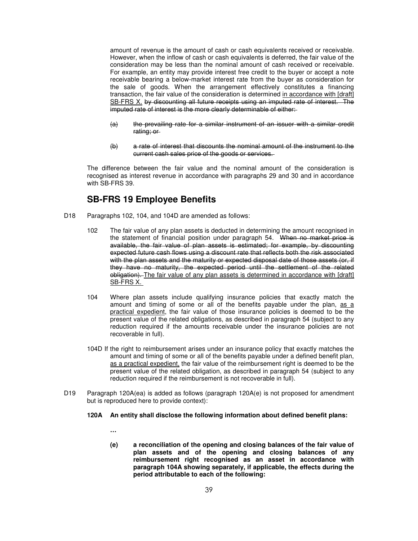amount of revenue is the amount of cash or cash equivalents received or receivable. However, when the inflow of cash or cash equivalents is deferred, the fair value of the consideration may be less than the nominal amount of cash received or receivable. For example, an entity may provide interest free credit to the buyer or accept a note receivable bearing a below-market interest rate from the buyer as consideration for the sale of goods. When the arrangement effectively constitutes a financing transaction, the fair value of the consideration is determined in accordance with [draft] SB-FRS X. by discounting all future receipts using an imputed rate of interest. The imputed rate of interest is the more clearly determinable of either:

- (a) the prevailing rate for a similar instrument of an issuer with a similar credit rating; or
- (b) a rate of interest that discounts the nominal amount of the instrument to the current cash sales price of the goods or services.

The difference between the fair value and the nominal amount of the consideration is recognised as interest revenue in accordance with paragraphs 29 and 30 and in accordance with SB-FRS 39.

## **SB-FRS 19 Employee Benefits**

- D18 Paragraphs 102, 104, and 104D are amended as follows:
	- 102 The fair value of any plan assets is deducted in determining the amount recognised in the statement of financial position under paragraph 54. When no market price is available, the fair value of plan assets is estimated; for example, by discounting expected future cash flows using a discount rate that reflects both the risk associated with the plan assets and the maturity or expected disposal date of those assets (or, if they have no maturity, the expected period until the settlement of the related obligation). The fair value of any plan assets is determined in accordance with [draft] SB-FRS X.
	- 104 Where plan assets include qualifying insurance policies that exactly match the amount and timing of some or all of the benefits payable under the plan, as a practical expedient, the fair value of those insurance policies is deemed to be the present value of the related obligations, as described in paragraph 54 (subject to any reduction required if the amounts receivable under the insurance policies are not recoverable in full).
	- 104D If the right to reimbursement arises under an insurance policy that exactly matches the amount and timing of some or all of the benefits payable under a defined benefit plan, as a practical expedient, the fair value of the reimbursement right is deemed to be the present value of the related obligation, as described in paragraph 54 (subject to any reduction required if the reimbursement is not recoverable in full).
- D19 Paragraph 120A(ea) is added as follows (paragraph 120A(e) is not proposed for amendment but is reproduced here to provide context):
	- **120A An entity shall disclose the following information about defined benefit plans:** 
		- **…**
		- **(e) a reconciliation of the opening and closing balances of the fair value of plan assets and of the opening and closing balances of any reimbursement right recognised as an asset in accordance with paragraph 104A showing separately, if applicable, the effects during the period attributable to each of the following:**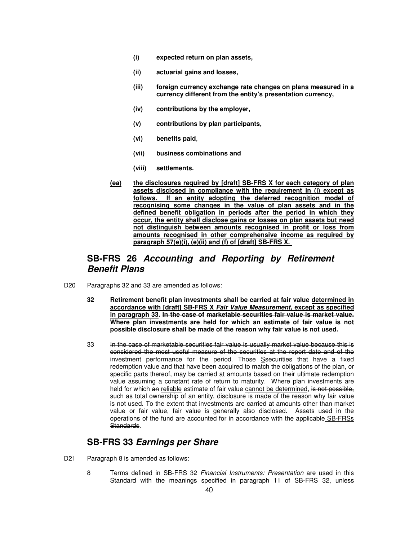- **(i) expected return on plan assets,**
- **(ii) actuarial gains and losses,**
- **(iii) foreign currency exchange rate changes on plans measured in a currency different from the entity's presentation currency,**
- **(iv) contributions by the employer,**
- **(v) contributions by plan participants,**
- **(vi) benefits paid**,
- **(vii) business combinations and**
- **(viii) settlements.**
- **(ea) the disclosures required by [draft] SB-FRS X for each category of plan assets disclosed in compliance with the requirement in (j) except as follows. If an entity adopting the deferred recognition model of recognising some changes in the value of plan assets and in the defined benefit obligation in periods after the period in which they occur, the entity shall disclose gains or losses on plan assets but need not distinguish between amounts recognised in profit or loss from amounts recognised in other comprehensive income as required by paragraph 57(e)(i), (e)(ii) and (f) of [draft] SB-FRS X.**

## **SB-FRS 26 Accounting and Reporting by Retirement Benefit Plans**

- D20 Paragraphs 32 and 33 are amended as follows:
	- **32 Retirement benefit plan investments shall be carried at fair value determined in accordance with [draft] SB-FRS X Fair Value Measurement, except as specified in paragraph 33. In the case of marketable securities fair value is market value. Where plan investments are held for which an estimate of fair value is not possible disclosure shall be made of the reason why fair value is not used.**
	- 33 In the case of marketable securities fair value is usually market value because this is considered the most useful measure of the securities at the report date and of the investment performance for the period. Those Ssecurities that have a fixed redemption value and that have been acquired to match the obligations of the plan, or specific parts thereof, may be carried at amounts based on their ultimate redemption value assuming a constant rate of return to maturity. Where plan investments are held for which an reliable estimate of fair value cannot be determined, is not possible, such as total ownership of an entity, disclosure is made of the reason why fair value is not used. To the extent that investments are carried at amounts other than market value or fair value, fair value is generally also disclosed. Assets used in the operations of the fund are accounted for in accordance with the applicable SB-FRSs Standards.

## **SB-FRS 33 Earnings per Share**

- D21 Paragraph 8 is amended as follows:
	- 8 Terms defined in SB-FRS 32 Financial Instruments: Presentation are used in this Standard with the meanings specified in paragraph 11 of SB-FRS 32, unless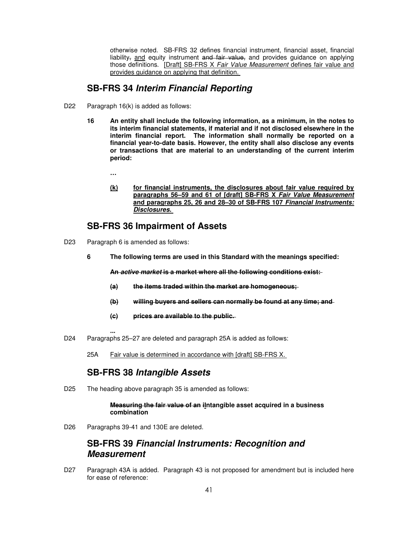otherwise noted. SB-FRS 32 defines financial instrument, financial asset, financial liability, and equity instrument and fair value, and provides quidance on applying those definitions. [Draft] SB-FRS X Fair Value Measurement defines fair value and provides guidance on applying that definition.

## **SB-FRS 34 Interim Financial Reporting**

- D22 Paragraph 16(k) is added as follows:
	- **16 An entity shall include the following information, as a minimum, in the notes to its interim financial statements, if material and if not disclosed elsewhere in the interim financial report. The information shall normally be reported on a financial year-to-date basis. However, the entity shall also disclose any events or transactions that are material to an understanding of the current interim period:**

**…** 

**(k) for financial instruments, the disclosures about fair value required by paragraphs 56–59 and 61 of [draft] SB-FRS X Fair Value Measurement and paragraphs 25, 26 and 28–30 of SB-FRS 107 Financial Instruments: Disclosures.** 

## **SB-FRS 36 Impairment of Assets**

- D23 Paragraph 6 is amended as follows:
	- **6 The following terms are used in this Standard with the meanings specified:**

**An active market is a market where all the following conditions exist:** 

- **(a) the items traded within the market are homogeneous;**
- **(b) willing buyers and sellers can normally be found at any time; and**
- **(c) prices are available to the public.**
- **...**  D24 Paragraphs 25–27 are deleted and paragraph 25A is added as follows:
	- 25A Fair value is determined in accordance with [draft] SB-FRS X.

## **SB-FRS 38 Intangible Assets**

D25 The heading above paragraph 35 is amended as follows:

#### **Measuring the fair value of an iIntangible asset acquired in a business combination**

D26 Paragraphs 39-41 and 130E are deleted.

## **SB-FRS 39 Financial Instruments: Recognition and Measurement**

D27 Paragraph 43A is added. Paragraph 43 is not proposed for amendment but is included here for ease of reference: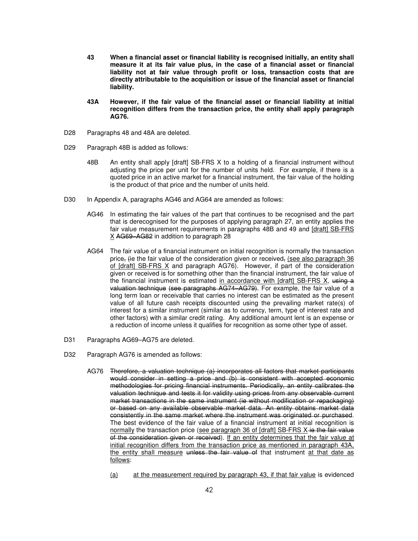- **43 When a financial asset or financial liability is recognised initially, an entity shall measure it at its fair value plus, in the case of a financial asset or financial liability not at fair value through profit or loss, transaction costs that are directly attributable to the acquisition or issue of the financial asset or financial liability.**
- **43A However, if the fair value of the financial asset or financial liability at initial recognition differs from the transaction price, the entity shall apply paragraph AG76.**
- D28 Paragraphs 48 and 48A are deleted.
- D29 Paragraph 48B is added as follows:
	- 48B An entity shall apply [draft] SB-FRS X to a holding of a financial instrument without adjusting the price per unit for the number of units held. For example, if there is a quoted price in an active market for a financial instrument, the fair value of the holding is the product of that price and the number of units held.
- D30 In Appendix A, paragraphs AG46 and AG64 are amended as follows:
	- AG46 In estimating the fair values of the part that continues to be recognised and the part that is derecognised for the purposes of applying paragraph 27, an entity applies the fair value measurement requirements in paragraphs 48B and 49 and [draft] SB-FRS X AG69–AG82 in addition to paragraph 28
	- AG64 The fair value of a financial instrument on initial recognition is normally the transaction price, (ie the fair value of the consideration given or received, (see also paragraph 36 of [draft] SB-FRS X and paragraph AG76). However, if part of the consideration given or received is for something other than the financial instrument, the fair value of the financial instrument is estimated in accordance with  $[drat]$  SB-FRS X, using a valuation technique (see paragraphs AG74–AG79). For example, the fair value of a long term loan or receivable that carries no interest can be estimated as the present value of all future cash receipts discounted using the prevailing market rate(s) of interest for a similar instrument (similar as to currency, term, type of interest rate and other factors) with a similar credit rating. Any additional amount lent is an expense or a reduction of income unless it qualifies for recognition as some other type of asset.
- D31 Paragraphs AG69-AG75 are deleted.
- D32 Paragraph AG76 is amended as follows:
	- AG76 Therefore, a valuation technique (a) incorporates all factors that market participants would consider in setting a price and (b) is consistent with accepted economic methodologies for pricing financial instruments. Periodically, an entity calibrates the valuation technique and tests it for validity using prices from any observable current market transactions in the same instrument (ie without modification or repackaging) or based on any available observable market data. An entity obtains market data consistently in the same market where the instrument was originated or purchased. The best evidence of the fair value of a financial instrument at initial recognition is normally the transaction price (see paragraph 36 of [draft] SB-FRS X-ie the fair value of the consideration given or received). If an entity determines that the fair value at initial recognition differs from the transaction price as mentioned in paragraph 43A, the entity shall measure unless the fair value of that instrument at that date as follows:
		- (a) at the measurement required by paragraph 43, if that fair value is evidenced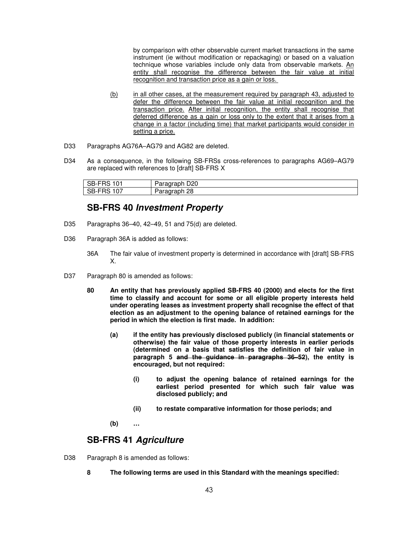by comparison with other observable current market transactions in the same instrument (ie without modification or repackaging) or based on a valuation technique whose variables include only data from observable markets. An entity shall recognise the difference between the fair value at initial recognition and transaction price as a gain or loss.

- (b) in all other cases, at the measurement required by paragraph 43, adjusted to defer the difference between the fair value at initial recognition and the transaction price. After initial recognition, the entity shall recognise that deferred difference as a gain or loss only to the extent that it arises from a change in a factor (including time) that market participants would consider in setting a price.
- D33 Paragraphs AG76A–AG79 and AG82 are deleted.
- D34 As a consequence, in the following SB-FRSs cross-references to paragraphs AG69–AG79 are replaced with references to [draft] SB-FRS X

| <b>SB-FRS 101</b> | Paragraph D20 |
|-------------------|---------------|
| SB-FRS 107        | Paragraph 28  |

## **SB-FRS 40 Investment Property**

- D35 Paragraphs 36–40, 42–49, 51 and 75(d) are deleted.
- D36 Paragraph 36A is added as follows:
	- 36A The fair value of investment property is determined in accordance with [draft] SB-FRS X.
- D37 Paragraph 80 is amended as follows:
	- **80 An entity that has previously applied SB-FRS 40 (2000) and elects for the first time to classify and account for some or all eligible property interests held under operating leases as investment property shall recognise the effect of that election as an adjustment to the opening balance of retained earnings for the period in which the election is first made. In addition:** 
		- **(a) if the entity has previously disclosed publicly (in financial statements or otherwise) the fair value of those property interests in earlier periods (determined on a basis that satisfies the definition of fair value in paragraph 5 and the guidance in paragraphs 36–52), the entity is encouraged, but not required:** 
			- **(i) to adjust the opening balance of retained earnings for the earliest period presented for which such fair value was disclosed publicly; and**
			- **(ii) to restate comparative information for those periods; and**

**(b) …** 

## **SB-FRS 41 Agriculture**

- D38 Paragraph 8 is amended as follows:
	- **8 The following terms are used in this Standard with the meanings specified:**